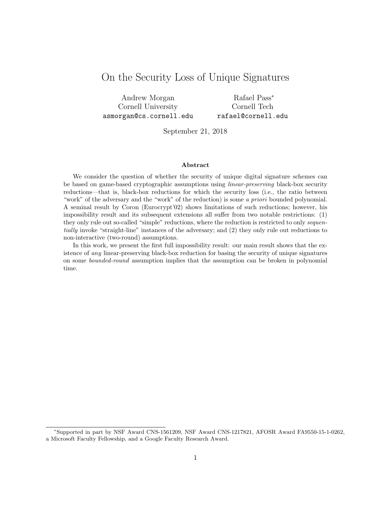# On the Security Loss of Unique Signatures

Andrew Morgan Cornell University asmorgan@cs.cornell.edu

Rafael Pass<sup>∗</sup> Cornell Tech rafael@cornell.edu

September 21, 2018

#### Abstract

We consider the question of whether the security of unique digital signature schemes can be based on game-based cryptographic assumptions using linear-preserving black-box security reductions—that is, black-box reductions for which the security loss (i.e., the ratio between "work" of the adversary and the "work" of the reduction) is some a priori bounded polynomial. A seminal result by Coron (Eurocrypt'02) shows limitations of such reductions; however, his impossibility result and its subsequent extensions all suffer from two notable restrictions: (1) they only rule out so-called "simple" reductions, where the reduction is restricted to only sequentially invoke "straight-line" instances of the adversary; and (2) they only rule out reductions to non-interactive (two-round) assumptions.

In this work, we present the first full impossibility result: our main result shows that the existence of any linear-preserving black-box reduction for basing the security of unique signatures on some bounded-round assumption implies that the assumption can be broken in polynomial time.

<sup>∗</sup>Supported in part by NSF Award CNS-1561209, NSF Award CNS-1217821, AFOSR Award FA9550-15-1-0262, a Microsoft Faculty Fellowship, and a Google Faculty Research Award.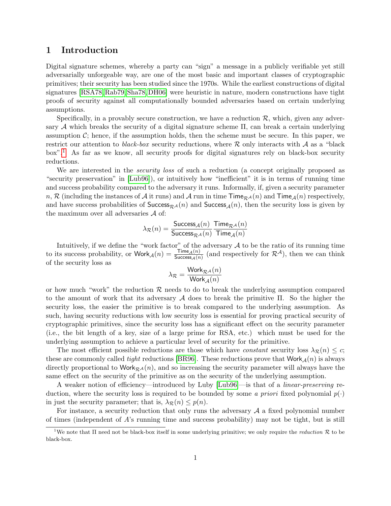## <span id="page-1-1"></span>1 Introduction

Digital signature schemes, whereby a party can "sign" a message in a publicly verifiable yet still adversarially unforgeable way, are one of the most basic and important classes of cryptographic primitives; their security has been studied since the 1970s. While the earliest constructions of digital signatures [\[RSA78,](#page-32-0) [Rab79,](#page-31-0) [Sha78,](#page-32-1)[DH06\]](#page-29-0) were heuristic in nature, modern constructions have tight proofs of security against all computationally bounded adversaries based on certain underlying assumptions.

Specifically, in a provably secure construction, we have a reduction  $\mathcal{R}$ , which, given any adversary  $\mathcal A$  which breaks the security of a digital signature scheme  $\Pi$ , can break a certain underlying assumption  $\mathcal{C}$ ; hence, if the assumption holds, then the scheme must be secure. In this paper, we restrict our attention to *black-box* security reductions, where  $R$  only interacts with  $A$  as a "black box".[1](#page-1-0) As far as we know, all security proofs for digital signatures rely on black-box security reductions.

We are interested in the *security loss* of such a reduction (a concept originally proposed as "security preservation" in [\[Lub96\]](#page-31-1)), or intuitively how "inefficient" it is in terms of running time and success probability compared to the adversary it runs. Informally, if, given a security parameter  $n, \mathcal{R}$  (including the instances of A it runs) and A run in time  $\text{Time}_{\mathcal{R}^{\mathcal{A}}}(n)$  and  $\text{Time}_{\mathcal{A}}(n)$  respectively, and have success probabilities of  $\text{Success}_{\mathcal{R}^{\mathcal{A}}}(n)$  and  $\text{Success}_{\mathcal{A}}(n)$ , then the security loss is given by the maximum over all adversaries  $\mathcal A$  of:

$$
\lambda_{\mathcal{R}}(n) = \frac{\textsf{Success}_{\mathcal{A}}(n)}{\textsf{Success}_{\mathcal{R}^{\mathcal{A}}}(n)} \frac{\textsf{Time}_{\mathcal{R}^{\mathcal{A}}}(n)}{\textsf{Time}_{\mathcal{A}}(n)}
$$

Intuitively, if we define the "work factor" of the adversary  $A$  to be the ratio of its running time to its success probability, or  $Work_{\mathcal{A}}(n) = \frac{\text{Time}_{\mathcal{A}}(n)}{\text{Success}_{\mathcal{A}}(n)}$  (and respectively for  $\mathcal{R}^{\mathcal{A}}$ ), then we can think of the security loss as

$$
\lambda_{\mathcal{R}} = \frac{\text{Work}_{\mathcal{R}^{\mathcal{A}}}(n)}{\text{Work}_{\mathcal{A}}(n)}
$$

or how much "work" the reduction  $\mathcal R$  needs to do to break the underlying assumption compared to the amount of work that its adversary  $\mathcal A$  does to break the primitive  $\Pi$ . So the higher the security loss, the easier the primitive is to break compared to the underlying assumption. As such, having security reductions with low security loss is essential for proving practical security of cryptographic primitives, since the security loss has a significant effect on the security parameter (i.e., the bit length of a key, size of a large prime for RSA, etc.) which must be used for the underlying assumption to achieve a particular level of security for the primitive.

The most efficient possible reductions are those which have *constant* security loss  $\lambda_{\mathcal{R}}(n) \leq c$ ; these are commonly called *tight* reductions [\[BR96\]](#page-28-0). These reductions prove that  $Work_A(n)$  is always directly proportional to Work $_{\mathcal{R}^{\mathcal{A}}}(n)$ , and so increasing the security parameter will always have the same effect on the security of the primitive as on the security of the underlying assumption.

A weaker notion of efficiency—introduced by Luby [\[Lub96\]](#page-31-1)—is that of a linear-preserving reduction, where the security loss is required to be bounded by some a priori fixed polynomial  $p(\cdot)$ in just the security parameter; that is,  $\lambda_{\mathcal{R}}(n) \leq p(n)$ .

For instance, a security reduction that only runs the adversary  $A$  a fixed polynomial number of times (independent of  $\vec{A}$ 's running time and success probability) may not be tight, but is still

<span id="page-1-0"></span><sup>&</sup>lt;sup>1</sup>We note that  $\Pi$  need not be black-box itself in some underlying primitive; we only require the *reduction*  $R$  to be black-box.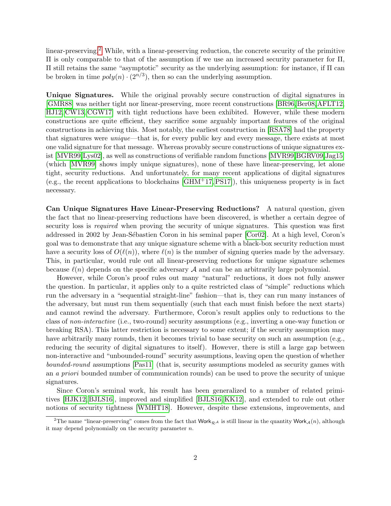linear-preserving.[2](#page-2-0) While, with a linear-preserving reduction, the concrete security of the primitive Π is only comparable to that of the assumption if we use an increased security parameter for Π, Π still retains the same "asymptotic" security as the underlying assumption: for instance, if Π can be broken in time  $poly(n) \cdot (2^{n/3})$ , then so can the underlying assumption.

Unique Signatures. While the original provably secure construction of digital signatures in [\[GMR88\]](#page-30-0) was neither tight nor linear-preserving, more recent constructions [\[BR96,](#page-28-0) [Ber08,](#page-28-1) [AFLT12,](#page-27-0) [HJ12,](#page-30-1) [CW13,](#page-29-1) [CGW17\]](#page-29-2) with tight reductions have been exhibited. However, while these modern constructions are quite efficient, they sacrifice some arguably important features of the original constructions in achieving this. Most notably, the earliest construction in [\[RSA78\]](#page-32-0) had the property that signatures were unique—that is, for every public key and every message, there exists at most one valid signature for that message. Whereas provably secure constructions of unique signatures exist [\[MVR99,](#page-31-2)[Lys02\]](#page-31-3), as well as constructions of verifiable random functions [\[MVR99,](#page-31-2)[BGRV09,](#page-29-3)[Jag15\]](#page-30-2) (which [\[MVR99\]](#page-31-2) shows imply unique signatures), none of these have linear-preserving, let alone tight, security reductions. And unfortunately, for many recent applications of digital signatures (e.g., the recent applications to blockchains [\[GHM](#page-30-3)+17, [PS17\]](#page-31-4)), this uniqueness property is in fact necessary.

Can Unique Signatures Have Linear-Preserving Reductions? A natural question, given the fact that no linear-preserving reductions have been discovered, is whether a certain degree of security loss is *required* when proving the security of unique signatures. This question was first addressed in 2002 by Jean-Sébastien Coron in his seminal paper [\[Cor02\]](#page-29-4). At a high level, Coron's goal was to demonstrate that any unique signature scheme with a black-box security reduction must have a security loss of  $O(\ell(n))$ , where  $\ell(n)$  is the number of signing queries made by the adversary. This, in particular, would rule out all linear-preserving reductions for unique signature schemes because  $\ell(n)$  depends on the specific adversary A and can be an arbitrarily large polynomial.

However, while Coron's proof rules out many "natural" reductions, it does not fully answer the question. In particular, it applies only to a quite restricted class of "simple" reductions which run the adversary in a "sequential straight-line" fashion—that is, they can run many instances of the adversary, but must run them sequentially (such that each must finish before the next starts) and cannot rewind the adversary. Furthermore, Coron's result applies only to reductions to the class of non-interactive (i.e., two-round) security assumptions (e.g., inverting a one-way function or breaking RSA). This latter restriction is necessary to some extent; if the security assumption may have arbitrarily many rounds, then it becomes trivial to base security on such an assumption (e.g., reducing the security of digital signatures to itself). However, there is still a large gap between non-interactive and "unbounded-round" security assumptions, leaving open the question of whether bounded-round assumptions [\[Pas11\]](#page-31-5) (that is, security assumptions modeled as security games with an a priori bounded number of communication rounds) can be used to prove the security of unique signatures.

Since Coron's seminal work, his result has been generalized to a number of related primitives [\[HJK12,](#page-30-4) [BJLS16\]](#page-28-2), improved and simplified [\[BJLS16,](#page-28-2) [KK12\]](#page-30-5), and extended to rule out other notions of security tightness [\[WMHT18\]](#page-32-2). However, despite these extensions, improvements, and

<span id="page-2-0"></span><sup>&</sup>lt;sup>2</sup>The name "linear-preserving" comes from the fact that Work<sub>RA</sub> is still linear in the quantity Work<sub>A</sub>(n), although it may depend polynomially on the security parameter  $n$ .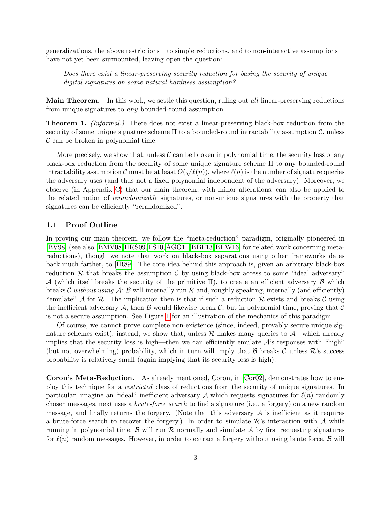generalizations, the above restrictions—to simple reductions, and to non-interactive assumptions have not yet been surmounted, leaving open the question:

Does there exist a linear-preserving security reduction for basing the security of unique digital signatures on some natural hardness assumption?

**Main Theorem.** In this work, we settle this question, ruling out all linear-preserving reductions from unique signatures to any bounded-round assumption.

**Theorem 1.** *(Informal.)* There does not exist a linear-preserving black-box reduction from the security of some unique signature scheme  $\Pi$  to a bounded-round intractability assumption  $\mathcal{C}$ , unless  $\mathcal C$  can be broken in polynomial time.

More precisely, we show that, unless  $\mathcal C$  can be broken in polynomial time, the security loss of any black-box reduction from the security of some unique signature scheme Π to any bounded-round intractability assumption C must be at least  $O(\sqrt{\ell(n)})$ , where  $\ell(n)$  is the number of signature queries the adversary uses (and thus not a fixed polynomial independent of the adversary). Moreover, we observe (in Appendix [C\)](#page-11-0) that our main theorem, with minor alterations, can also be applied to the related notion of rerandomizable signatures, or non-unique signatures with the property that signatures can be efficiently "rerandomized".

### 1.1 Proof Outline

In proving our main theorem, we follow the "meta-reduction" paradigm, originally pioneered in [\[BV98\]](#page-28-3) (see also [\[BMV08,](#page-29-5)[HRS09,](#page-30-6)[FS10,](#page-29-6)[AGO11,](#page-27-1)[BBF13,](#page-28-4)[BFW16\]](#page-28-5) for related work concerning metareductions), though we note that work on black-box separations using other frameworks dates back much farther, to [\[IR89\]](#page-30-7). The core idea behind this approach is, given an arbitrary black-box reduction R that breaks the assumption C by using black-box access to some "ideal adversary" A (which itself breaks the security of the primitive  $\Pi$ ), to create an efficient adversary B which breaks C without using  $\mathcal{A}: \mathcal{B}$  will internally run  $\mathcal{R}$  and, roughly speaking, internally (and efficiently) "emulate" A for R. The implication then is that if such a reduction R exists and breaks C using the inefficient adversary A, then B would likewise break C, but in polynomial time, proving that C is not a secure assumption. See Figure [1](#page-4-0) for an illustration of the mechanics of this paradigm.

Of course, we cannot prove complete non-existence (since, indeed, provably secure unique signature schemes exist); instead, we show that, unless  $\mathcal R$  makes many queries to  $\mathcal A$ —which already implies that the security loss is high—then we can efficiently emulate  $\mathcal{A}$ 's responses with "high" (but not overwhelming) probability, which in turn will imply that  $\beta$  breaks  $\mathcal C$  unless  $\mathcal R$ 's success probability is relatively small (again implying that its security loss is high).

Coron's Meta-Reduction. As already mentioned, Coron, in [\[Cor02\]](#page-29-4), demonstrates how to employ this technique for a restricted class of reductions from the security of unique signatures. In particular, imagine an "ideal" inefficient adversary  $\mathcal A$  which requests signatures for  $\ell(n)$  randomly chosen messages, next uses a brute-force search to find a signature (i.e., a forgery) on a new random message, and finally returns the forgery. (Note that this adversary  $A$  is inefficient as it requires a brute-force search to recover the forgery.) In order to simulate  $\mathcal{R}$ 's interaction with  $\mathcal{A}$  while running in polynomial time,  $\beta$  will run  $\beta$  normally and simulate  $\mathcal A$  by first requesting signatures for  $\ell(n)$  random messages. However, in order to extract a forgery without using brute force, B will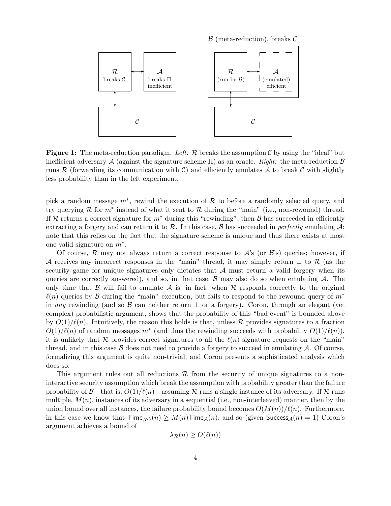<span id="page-4-0"></span>

**Figure 1:** The meta-reduction paradigm. Left: R breaks the assumption C by using the "ideal" but inefficient adversary  $\mathcal A$  (against the signature scheme  $\Pi$ ) as an oracle. Right: the meta-reduction  $\mathcal B$ runs R (forwarding its communication with C) and efficiently emulates A to break C with slightly less probability than in the left experiment.

pick a random message  $m^*$ , rewind the execution of R to before a randomly selected query, and try querying R for  $m^*$  instead of what it sent to R during the "main" (i.e., non-rewound) thread. If R returns a correct signature for  $m^*$  during this "rewinding", then B has succeeded in efficiently extracting a forgery and can return it to R. In this case,  $\beta$  has succeeded in *perfectly* emulating  $\mathcal{A}$ ; note that this relies on the fact that the signature scheme is unique and thus there exists at most one valid signature on  $m^*$ .

Of course,  $\mathcal R$  may not always return a correct response to  $\mathcal A$ 's (or  $\mathcal B$ 's) queries; however, if A receives any incorrect responses in the "main" thread, it may simply return  $\perp$  to R (as the security game for unique signatures only dictates that  $A$  must return a valid forgery when its queries are correctly answered), and so, in that case,  $\beta$  may also do so when emulating  $\mathcal{A}$ . The only time that  $\beta$  will fail to emulate  $\mathcal A$  is, in fact, when  $\mathcal R$  responds correctly to the original  $\ell(n)$  queries by B during the "main" execution, but fails to respond to the rewound query of  $m^*$ in any rewinding (and so B can neither return  $\perp$  or a forgery). Coron, through an elegant (yet complex) probabilistic argument, shows that the probability of this "bad event" is bounded above by  $O(1)/\ell(n)$ . Intuitively, the reason this holds is that, unless R provides signatures to a fraction  $O(1)/\ell(n)$  of random messages  $m^*$  (and thus the rewinding succeeds with probability  $O(1)/\ell(n)$ ), it is unlikely that R provides correct signatures to all the  $\ell(n)$  signature requests on the "main" thread, and in this case  $\beta$  does not need to provide a forgery to succeed in emulating  $\mathcal{A}$ . Of course, formalizing this argument is quite non-trivial, and Coron presents a sophisticated analysis which does so.

This argument rules out all reductions  $\mathcal R$  from the security of unique signatures to a noninteractive security assumption which break the assumption with probability greater than the failure probability of B—that is,  $O(1)/\ell(n)$ —assuming R runs a single instance of its adversary. If R runs multiple,  $M(n)$ , instances of its adversary in a sequential (i.e., non-interleaved) manner, then by the union bound over all instances, the failure probability bound becomes  $O(M(n))/\ell(n)$ . Furthermore, in this case we know that  $\text{Time}_{\mathcal{R}^{\mathcal{A}}}(n) \geq M(n) \text{Time}_{\mathcal{A}}(n)$ , and so (given  $\text{Success}_{\mathcal{A}}(n) = 1$ ) Coron's argument achieves a bound of

$$
\lambda_{\mathcal{R}}(n) \ge O(\ell(n))
$$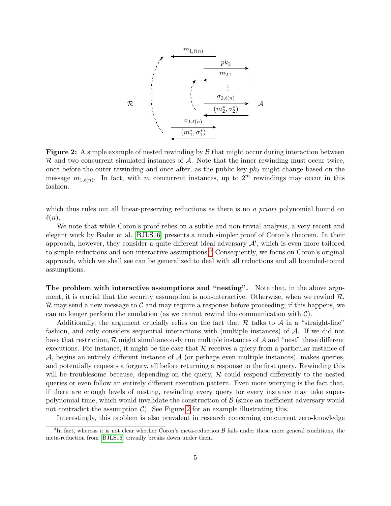<span id="page-5-1"></span>

Figure 2: A simple example of nested rewinding by  $\beta$  that might occur during interaction between  $\mathcal R$  and two concurrent simulated instances of  $\mathcal A$ . Note that the inner rewinding must occur twice, once before the outer rewinding and once after, as the public key  $pk_2$  might change based on the message  $m_{1,\ell(n)}$ . In fact, with m concurrent instances, up to  $2^m$  rewindings may occur in this fashion.

which thus rules out all linear-preserving reductions as there is no a priori polynomial bound on  $\ell(n).$ 

We note that while Coron's proof relies on a subtle and non-trivial analysis, a very recent and elegant work by Bader et al. [\[BJLS16\]](#page-28-2) presents a much simpler proof of Coron's theorem. In their approach, however, they consider a quite different ideal adversary  $A'$ , which is even more tailored to simple reductions and non-interactive assumptions.[3](#page-5-0) Consequently, we focus on Coron's original approach, which we shall see can be generalized to deal with all reductions and all bounded-round assumptions.

The problem with interactive assumptions and "nesting". Note that, in the above argument, it is crucial that the security assumption is non-interactive. Otherwise, when we rewind  $\mathcal{R}$ ,  $\mathcal R$  may send a new message to C and may require a response before proceeding; if this happens, we can no longer perform the emulation (as we cannot rewind the communication with  $\mathcal{C}$ ).

Additionally, the argument crucially relies on the fact that  $R$  talks to  $\mathcal A$  in a "straight-line" fashion, and only considers sequential interactions with (multiple instances) of A. If we did not have that restriction,  $\mathcal{R}$  might simultaneously run multiple instances of  $\mathcal{A}$  and "nest" these different executions. For instance, it might be the case that  $R$  receives a query from a particular instance of  $A$ , begins an entirely different instance of  $A$  (or perhaps even multiple instances), makes queries, and potentially requests a forgery, all before returning a response to the first query. Rewinding this will be troublesome because, depending on the query,  $R$  could respond differently to the nested queries or even follow an entirely different execution pattern. Even more worrying is the fact that, if there are enough levels of nesting, rewinding every query for every instance may take superpolynomial time, which would invalidate the construction of  $\beta$  (since an inefficient adversary would not contradict the assumption  $\mathcal{C}$ ). See Figure [2](#page-5-1) for an example illustrating this.

<span id="page-5-0"></span>Interestingly, this problem is also prevalent in research concerning concurrent zero-knowledge

 ${}^{3}$ In fact, whereas it is not clear whether Coron's meta-reduction  $\beta$  fails under these more general conditions, the meta-reduction from [\[BJLS16\]](#page-28-2) trivially breaks down under them.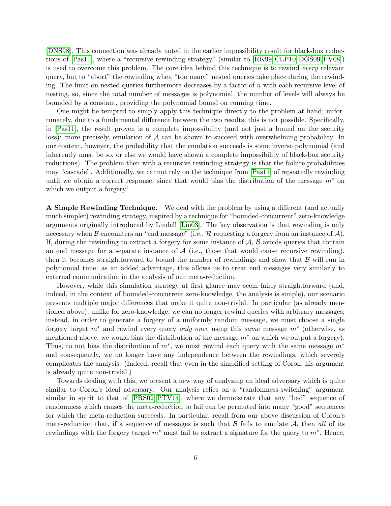[\[DNS98\]](#page-29-7). This connection was already noted in the earlier impossibility result for black-box reductions of [\[Pas11\]](#page-31-5), where a "recursive rewinding strategy" (similar to [\[RK99,](#page-32-3) [CLP10,](#page-29-8) [DGS09,](#page-29-9)[PV08\]](#page-31-6)) is used to overcome this problem. The core idea behind this technique is to rewind *every* relevant query, but to "abort" the rewinding when "too many" nested queries take place during the rewinding. The limit on nested queries furthermore decreases by a factor of  $n$  with each recursive level of nesting, so, since the total number of messages is polynomial, the number of levels will always be bounded by a constant, providing the polynomial bound on running time.

One might be tempted to simply apply this technique directly to the problem at hand; unfortunately, due to a fundamental difference between the two results, this is not possible. Specifically, in [\[Pas11\]](#page-31-5), the result proven is a complete impossibility (and not just a bound on the security loss): more precisely, emulation of  $A$  can be shown to succeed with overwhelming probability. In our context, however, the probability that the emulation succeeds is some inverse polynomial (and inherently must be so, or else we would have shown a complete impossibility of black-box security reductions). The problem then with a recursive rewinding strategy is that the failure probabilities may "cascade". Additionally, we cannot rely on the technique from [\[Pas11\]](#page-31-5) of repeatedly rewinding until we obtain a correct response, since that would bias the distribution of the message  $m^*$  on which we output a forgery!

A Simple Rewinding Technique. We deal with the problem by using a different (and actually much simpler) rewinding strategy, inspired by a technique for "bounded-concurrent" zero-knowledge arguments originally introduced by Lindell [\[Lin03\]](#page-31-7). The key observation is that rewinding is only necessary when B encounters an "end message" (i.e., R requesting a forgery from an instance of  $\mathcal{A}$ ). If, during the rewinding to extract a forgery for some instance of  $A$ ,  $B$  avoids queries that contain an end message for a separate instance of  $A$  (i.e., those that would cause recursive rewinding), then it becomes straightforward to bound the number of rewindings and show that  $\beta$  will run in polynomial time; as an added advantage, this allows us to treat end messages very similarly to external communication in the analysis of our meta-reduction.

However, while this simulation strategy at first glance may seem fairly straightforward (and, indeed, in the context of bounded-concurrent zero-knowledge, the analysis is simple), our scenario presents multiple major differences that make it quite non-trivial. In particular (as already mentioned above), unlike for zero-knowledge, we can no longer rewind queries with arbitrary messages; instead, in order to generate a forgery of a uniformly random message, we must choose a single forgery target  $m^*$  and rewind every query *only once* using this *same* message  $m^*$  (otherwise, as mentioned above, we would bias the distribution of the message  $m^*$  on which we output a forgery). Thus, to not bias the distribution of  $m^*$ , we must rewind each query with the same message  $m^*$ and consequently, we no longer have any independence between the rewindings, which severely complicates the analysis. (Indeed, recall that even in the simplified setting of Coron, his argument is already quite non-trivial.)

Towards dealing with this, we present a new way of analyzing an ideal adversary which is quite similar to Coron's ideal adversary. Our analysis relies on a "randomness-switching" argument similar in spirit to that of [\[PRS02,](#page-31-8) [PTV14\]](#page-31-9), where we demonstrate that any "bad" sequence of randomness which causes the meta-reduction to fail can be permuted into many "good" sequences for which the meta-reduction succeeds. In particular, recall from our above discussion of Coron's meta-reduction that, if a sequence of messages is such that  $\beta$  fails to emulate  $\mathcal{A}$ , then all of its rewindings with the forgery target  $m^*$  must fail to extract a signature for the query to  $m^*$ . Hence,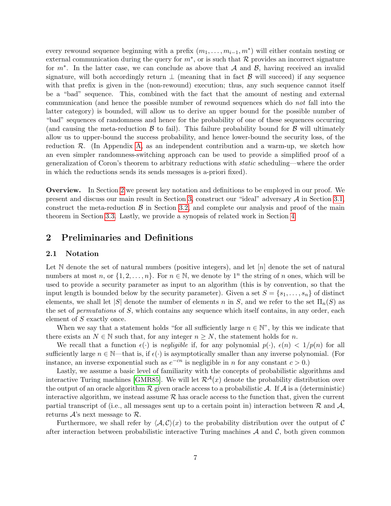every rewound sequence beginning with a prefix  $(m_1, \ldots, m_{i-1}, m^*)$  will either contain nesting or external communication during the query for  $m^*$ , or is such that R provides an incorrect signature for  $m^*$ . In the latter case, we can conclude as above that A and B, having received an invalid signature, will both accordingly return  $\perp$  (meaning that in fact B will succeed) if any sequence with that prefix is given in the (non-rewound) execution; thus, any such sequence cannot itself be a "bad" sequence. This, combined with the fact that the amount of nesting and external communication (and hence the possible number of rewound sequences which do not fall into the latter category) is bounded, will allow us to derive an upper bound for the possible number of "bad" sequences of randomness and hence for the probability of one of these sequences occurring (and causing the meta-reduction  $\beta$  to fail). This failure probability bound for  $\beta$  will ultimately allow us to upper-bound the success probability, and hence lower-bound the security loss, of the reduction  $\mathcal{R}$ . (In Appendix [A,](#page-1-1) as an independent contribution and a warm-up, we sketch how an even simpler randomness-switching approach can be used to provide a simplified proof of a generalization of Coron's theorem to arbitrary reductions with static scheduling—where the order in which the reductions sends its sends messages is a-priori fixed).

Overview. In Section [2](#page-7-0) we present key notation and definitions to be employed in our proof. We present and discuss our main result in Section [3,](#page-11-0) construct our "ideal" adversary A in Section [3.1,](#page-14-0) construct the meta-reduction  $\beta$  in Section [3.2,](#page-17-0) and complete our analysis and proof of the main theorem in Section [3.3.](#page-20-0) Lastly, we provide a synopsis of related work in Section [4.](#page-26-0)

### <span id="page-7-0"></span>2 Preliminaries and Definitions

### 2.1 Notation

Let  $\mathbb N$  denote the set of natural numbers (positive integers), and let  $[n]$  denote the set of natural numbers at most n, or  $\{1, 2, ..., n\}$ . For  $n \in \mathbb{N}$ , we denote by  $1^n$  the string of n ones, which will be used to provide a security parameter as input to an algorithm (this is by convention, so that the input length is bounded below by the security parameter). Given a set  $S = \{s_1, \ldots, s_n\}$  of distinct elements, we shall let |S| denote the number of elements n in S, and we refer to the set  $\Pi_n(S)$  as the set of permutations of S, which contains any sequence which itself contains, in any order, each element of S exactly once.

When we say that a statement holds "for all sufficiently large  $n \in \mathbb{N}$ ", by this we indicate that there exists an  $N \in \mathbb{N}$  such that, for any integer  $n \geq N$ , the statement holds for n.

We recall that a function  $\epsilon(\cdot)$  is *negligible* if, for any polynomial  $p(\cdot), \epsilon(n) < 1/p(n)$  for all sufficiently large  $n \in \mathbb{N}$ —that is, if  $\epsilon(\cdot)$  is asymptotically smaller than any inverse polynomial. (For instance, an inverse exponential such as  $e^{-cn}$  is negligible in n for any constant  $c > 0$ .)

Lastly, we assume a basic level of familiarity with the concepts of probabilistic algorithms and interactive Turing machines [\[GMR85\]](#page-30-8). We will let  $\mathcal{R}^{\mathcal{A}}(x)$  denote the probability distribution over the output of an oracle algorithm  $R$  given oracle access to a probabilistic  $\mathcal A$ . If  $\mathcal A$  is a (deterministic) interactive algorithm, we instead assume  $R$  has oracle access to the function that, given the current partial transcript of (i.e., all messages sent up to a certain point in) interaction between  $\mathcal{R}$  and  $\mathcal{A}$ , returns  $\mathcal{A}$ 's next message to  $\mathcal{R}$ .

Furthermore, we shall refer by  $\langle A, C \rangle (x)$  to the probability distribution over the output of C after interaction between probabilistic interactive Turing machines  $A$  and  $C$ , both given common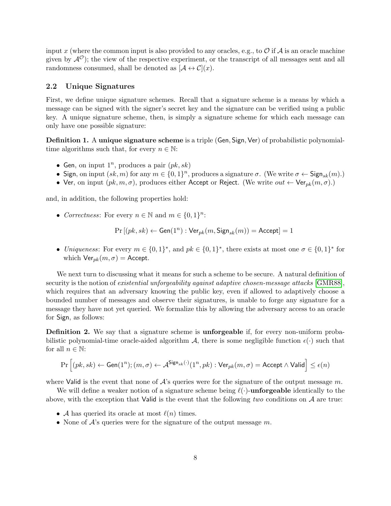input x (where the common input is also provided to any oracles, e.g., to  $\mathcal O$  if  $\mathcal A$  is an oracle machine given by  $\mathcal{A}^{\mathcal{O}}$ ); the view of the respective experiment, or the transcript of all messages sent and all randomness consumed, shall be denoted as  $[\mathcal{A} \leftrightarrow \mathcal{C}](x)$ .

### 2.2 Unique Signatures

First, we define unique signature schemes. Recall that a signature scheme is a means by which a message can be signed with the signer's secret key and the signature can be verified using a public key. A unique signature scheme, then, is simply a signature scheme for which each message can only have one possible signature:

Definition 1. A unique signature scheme is a triple (Gen, Sign, Ver) of probabilistic polynomialtime algorithms such that, for every  $n \in \mathbb{N}$ :

- Gen, on input  $1^n$ , produces a pair  $(pk, sk)$
- Sign, on input  $(sk, m)$  for any  $m \in \{0, 1\}^n$ , produces a signature  $\sigma$ . (We write  $\sigma \leftarrow$  Sign<sub>sk</sub> $(m)$ .)
- Ver, on input  $(pk, m, \sigma)$ , produces either Accept or Reject. (We write  $out \leftarrow \text{Ver}_{pk}(m, \sigma)$ .)

and, in addition, the following properties hold:

• Correctness: For every  $n \in \mathbb{N}$  and  $m \in \{0,1\}^n$ :

$$
\Pr\left[(pk, sk) \gets \mathsf{Gen}(1^n) : \mathsf{Ver}_{pk}(m, \mathsf{Sign}_{sk}(m)) = \mathsf{Accept}\right] = 1
$$

• Uniqueness: For every  $m \in \{0,1\}^*$ , and  $pk \in \{0,1\}^*$ , there exists at most one  $\sigma \in \{0,1\}^*$  for which  $\mathsf{Ver}_{pk}(m, \sigma) = \mathsf{Accept}.$ 

We next turn to discussing what it means for such a scheme to be secure. A natural definition of security is the notion of existential unforgeability against adaptive chosen-message attacks [\[GMR88\]](#page-30-0), which requires that an adversary knowing the public key, even if allowed to adaptively choose a bounded number of messages and observe their signatures, is unable to forge any signature for a message they have not yet queried. We formalize this by allowing the adversary access to an oracle for Sign, as follows:

Definition 2. We say that a signature scheme is unforgeable if, for every non-uniform probabilistic polynomial-time oracle-aided algorithm  $A$ , there is some negligible function  $\epsilon(\cdot)$  such that for all  $n \in \mathbb{N}$ :

$$
\Pr\Big[(pk, sk) \gets \mathsf{Gen}(1^n); (m, \sigma) \gets \mathcal{A}^{\mathsf{Sign}_{sk}(\cdot)}(1^n, pk) : \mathsf{Ver}_{pk}(m, \sigma) = \mathsf{Accept} \land \mathsf{Valid}\Big] \leq \epsilon(n)
$$

where Valid is the event that none of  $\mathcal{A}$ 's queries were for the signature of the output message m.

We will define a weaker notion of a signature scheme being  $\ell(\cdot)$ -unforgeable identically to the above, with the exception that Valid is the event that the following two conditions on  $A$  are true:

- A has queried its oracle at most  $\ell(n)$  times.
- None of  $A$ 's queries were for the signature of the output message m.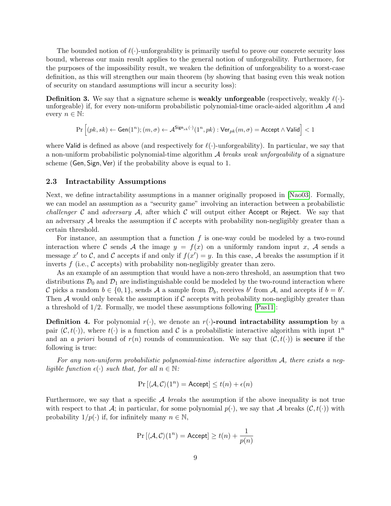The bounded notion of  $\ell(\cdot)$ -unforgeability is primarily useful to prove our concrete security loss bound, whereas our main result applies to the general notion of unforgeability. Furthermore, for the purposes of the impossibility result, we weaken the definition of unforgeability to a worst-case definition, as this will strengthen our main theorem (by showing that basing even this weak notion of security on standard assumptions will incur a security loss):

**Definition 3.** We say that a signature scheme is **weakly unforgeable** (respectively, weakly  $\ell(\cdot)$ unforgeable) if, for every non-uniform probabilistic polynomial-time oracle-aided algorithm  $\mathcal A$  and every  $n \in \mathbb{N}$ :

$$
\Pr\Big[(pk, sk) \gets \mathsf{Gen}(1^n); (m, \sigma) \gets \mathcal{A}^{\mathsf{Sign}_{sk}(\cdot)}(1^n, pk) : \mathsf{Ver}_{pk}(m, \sigma) = \mathsf{Accept} \land \mathsf{Valid} \Big] < 1
$$

where Valid is defined as above (and respectively for  $\ell(\cdot)$ -unforgeability). In particular, we say that a non-uniform probabilistic polynomial-time algorithm  $\mathcal A$  breaks weak unforgeability of a signature scheme (Gen, Sign, Ver) if the probability above is equal to 1.

#### 2.3 Intractability Assumptions

Next, we define intractability assumptions in a manner originally proposed in [\[Nao03\]](#page-31-10). Formally, we can model an assumption as a "security game" involving an interaction between a probabilistic *challenger C* and *adversary* A, after which C will output either Accept or Reject. We say that an adversary  $\mathcal A$  breaks the assumption if  $\mathcal C$  accepts with probability non-negligibly greater than a certain threshold.

For instance, an assumption that a function  $f$  is one-way could be modeled by a two-round interaction where C sends A the image  $y = f(x)$  on a uniformly random input x, A sends a message x' to C, and C accepts if and only if  $f(x') = y$ . In this case, A breaks the assumption if it inverts  $f$  (i.e.,  $\mathcal C$  accepts) with probability non-negligibly greater than zero.

As an example of an assumption that would have a non-zero threshold, an assumption that two distributions  $\mathcal{D}_0$  and  $\mathcal{D}_1$  are indistinguishable could be modeled by the two-round interaction where C picks a random  $b \in \{0, 1\}$ , sends A a sample from  $\mathcal{D}_b$ , receives b' from A, and accepts if  $b = b'$ . Then  $A$  would only break the assumption if  $C$  accepts with probability non-negligibly greater than a threshold of 1/2. Formally, we model these assumptions following [\[Pas11\]](#page-31-5):

**Definition 4.** For polynomial  $r(\cdot)$ , we denote an  $r(\cdot)$ -round intractability assumption by a pair  $(C, t(\cdot))$ , where  $t(\cdot)$  is a function and C is a probabilistic interactive algorithm with input  $1^n$ and an a priori bound of  $r(n)$  rounds of communication. We say that  $(\mathcal{C}, t(\cdot))$  is **secure** if the following is true:

For any non-uniform probabilistic polynomial-time interactive algorithm  $A$ , there exists a negligible function  $\epsilon(\cdot)$  such that, for all  $n \in \mathbb{N}$ :

$$
\Pr\left[\langle \mathcal{A}, \mathcal{C} \rangle(1^n) = \mathsf{Accept}\right] \le t(n) + \epsilon(n)
$$

Furthermore, we say that a specific  $A$  breaks the assumption if the above inequality is not true with respect to that A; in particular, for some polynomial  $p(.)$ , we say that A breaks  $(C, t(.))$  with probability  $1/p(\cdot)$  if, for infinitely many  $n \in \mathbb{N}$ ,

$$
\Pr\left[\langle \mathcal{A}, \mathcal{C} \rangle(1^n) = \mathsf{Accept}\right] \ge t(n) + \frac{1}{p(n)}
$$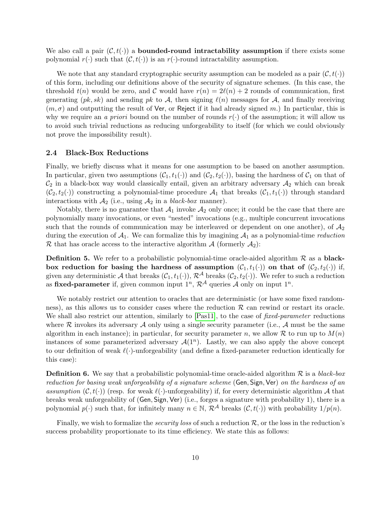We also call a pair  $(\mathcal{C}, t(\cdot))$  a **bounded-round intractability assumption** if there exists some polynomial  $r(\cdot)$  such that  $(\mathcal{C}, t(\cdot))$  is an  $r(\cdot)$ -round intractability assumption.

We note that any standard cryptographic security assumption can be modeled as a pair  $(C, t(\cdot))$ of this form, including our definitions above of the security of signature schemes. (In this case, the threshold  $t(n)$  would be zero, and C would have  $r(n) = 2\ell(n) + 2$  rounds of communication, first generating  $(pk, sk)$  and sending pk to A, then signing  $\ell(n)$  messages for A, and finally receiving  $(m, \sigma)$  and outputting the result of Ver, or Reject if it had already signed m.) In particular, this is why we require an a priori bound on the number of rounds  $r(\cdot)$  of the assumption; it will allow us to avoid such trivial reductions as reducing unforgeability to itself (for which we could obviously not prove the impossibility result).

#### 2.4 Black-Box Reductions

Finally, we briefly discuss what it means for one assumption to be based on another assumption. In particular, given two assumptions  $(C_1, t_1(\cdot))$  and  $(C_2, t_2(\cdot))$ , basing the hardness of  $C_1$  on that of  $\mathcal{C}_2$  in a black-box way would classically entail, given an arbitrary adversary  $\mathcal{A}_2$  which can break  $(\mathcal{C}_2, t_2(\cdot))$  constructing a polynomial-time procedure  $\mathcal{A}_1$  that breaks  $(\mathcal{C}_1, t_1(\cdot))$  through standard interactions with  $A_2$  (i.e., using  $A_2$  in a *black-box* manner).

Notably, there is no guarantee that  $A_1$  invoke  $A_2$  only once; it could be the case that there are polynomially many invocations, or even "nested" invocations (e.g., multiple concurrent invocations such that the rounds of communication may be interleaved or dependent on one another), of  $\mathcal{A}_2$ during the execution of  $A_1$ . We can formalize this by imagining  $A_1$  as a polynomial-time *reduction* R that has oracle access to the interactive algorithm A (formerly  $A_2$ ):

**Definition 5.** We refer to a probabilistic polynomial-time oracle-aided algorithm  $\mathcal{R}$  as a **black**box reduction for basing the hardness of assumption  $(C_1, t_1(\cdot))$  on that of  $(C_2, t_2(\cdot))$  if, given any deterministic A that breaks  $(C_1, t_1(\cdot))$ ,  $\mathcal{R}^{\mathcal{A}}$  breaks  $(C_2, t_2(\cdot))$ . We refer to such a reduction as fixed-parameter if, given common input  $1^n$ ,  $\mathcal{R}^{\mathcal{A}}$  queries  $\mathcal{A}$  only on input  $1^n$ .

We notably restrict our attention to oracles that are deterministic (or have some fixed randomness), as this allows us to consider cases where the reduction  $R$  can rewind or restart its oracle. We shall also restrict our attention, similarly to [\[Pas11\]](#page-31-5), to the case of *fixed-parameter* reductions where R invokes its adversary A only using a single security parameter (i.e., A must be the same algorithm in each instance); in particular, for security parameter n, we allow R to run up to  $M(n)$ instances of some parameterized adversary  $\mathcal{A}(1^n)$ . Lastly, we can also apply the above concept to our definition of weak  $\ell(\cdot)$ -unforgeability (and define a fixed-parameter reduction identically for this case):

**Definition 6.** We say that a probabilistic polynomial-time oracle-aided algorithm  $\mathcal{R}$  is a black-box reduction for basing weak unforgeability of a signature scheme (Gen, Sign, Ver) on the hardness of an assumption  $(C, t(\cdot))$  (resp. for weak  $\ell(\cdot)$ -unforgeability) if, for every deterministic algorithm A that breaks weak unforgeability of (Gen, Sign, Ver) (i.e., forges a signature with probability 1), there is a polynomial  $p(\cdot)$  such that, for infinitely many  $n \in \mathbb{N}$ ,  $\mathcal{R}^{\mathcal{A}}$  breaks  $(\mathcal{C}, t(\cdot))$  with probability  $1/p(n)$ .

Finally, we wish to formalize the *security loss* of such a reduction  $\mathcal{R}$ , or the loss in the reduction's success probability proportionate to its time efficiency. We state this as follows: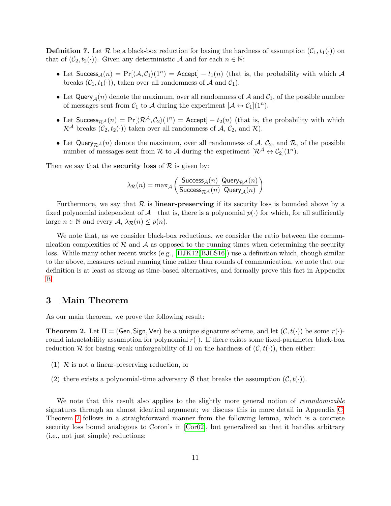**Definition 7.** Let R be a black-box reduction for basing the hardness of assumption  $(C_1, t_1(\cdot))$  on that of  $(C_2, t_2(\cdot))$ . Given any deterministic A and for each  $n \in \mathbb{N}$ :

- Let Success<sub>A</sub> $(n) = Pr[\langle A, C_1\rangle(1^n) = Accept] t_1(n)$  (that is, the probability with which A breaks  $(C_1, t_1(\cdot))$ , taken over all randomness of A and  $C_1$ ).
- Let Query<sub>A</sub> $(n)$  denote the maximum, over all randomness of A and  $C_1$ , of the possible number of messages sent from  $C_1$  to A during the experiment  $[A \leftrightarrow C_1](1^n)$ .
- Let Success<sub>RA</sub> $(n) = Pr[\langle R^{\mathcal{A}}, C_2 \rangle(1^n) =$  Accept]  $t_2(n)$  (that is, the probability with which  $\mathcal{R}^{\mathcal{A}}$  breaks  $(\mathcal{C}_2, t_2(\cdot))$  taken over all randomness of  $\mathcal{A}, \mathcal{C}_2$ , and  $\mathcal{R}$ ).
- Let Query $_{\mathcal{R}^{\mathcal{A}}}(n)$  denote the maximum, over all randomness of  $\mathcal{A}, \mathcal{C}_2$ , and  $\mathcal{R}$ , of the possible number of messages sent from R to A during the experiment  $[\mathcal{R}^{\mathcal{A}} \leftrightarrow \mathcal{C}_2](1^n)$ .

Then we say that the **security loss** of  $\mathcal{R}$  is given by:

$$
\lambda_{\mathcal{R}}(n) = \max_{\mathcal{A}} \left( \frac{\mathsf{Success}_{\mathcal{A}}(n)}{\mathsf{Success}_{\mathcal{R}^{\mathcal{A}}}(n)} \frac{\mathsf{Query}_{\mathcal{R}^{\mathcal{A}}}(n)}{\mathsf{Query}_{\mathcal{A}}(n)} \right)
$$

Furthermore, we say that  $\mathcal R$  is **linear-preserving** if its security loss is bounded above by a fixed polynomial independent of  $\mathcal{A}$ —that is, there is a polynomial  $p(\cdot)$  for which, for all sufficiently large  $n \in \mathbb{N}$  and every  $\mathcal{A}, \lambda_{\mathcal{R}}(n) \leq p(n)$ .

We note that, as we consider black-box reductions, we consider the ratio between the communication complexities of  $\mathcal R$  and  $\mathcal A$  as opposed to the running times when determining the security loss. While many other recent works (e.g., [\[HJK12,](#page-30-4)[BJLS16\]](#page-28-2)) use a definition which, though similar to the above, measures actual running time rather than rounds of communication, we note that our definition is at least as strong as time-based alternatives, and formally prove this fact in Appendix [B.](#page-7-0)

## <span id="page-11-0"></span>3 Main Theorem

As our main theorem, we prove the following result:

<span id="page-11-1"></span>**Theorem 2.** Let  $\Pi = (\mathsf{Gen}, \mathsf{Sign}, \mathsf{Ver})$  be a unique signature scheme, and let  $(\mathcal{C}, t(\cdot))$  be some  $r(\cdot)$ round intractability assumption for polynomial  $r(\cdot)$ . If there exists some fixed-parameter black-box reduction R for basing weak unforgeability of  $\Pi$  on the hardness of  $(C, t(\cdot))$ , then either:

- (1)  $\mathcal{R}$  is not a linear-preserving reduction, or
- (2) there exists a polynomial-time adversary  $\beta$  that breaks the assumption  $(C, t(\cdot))$ .

We note that this result also applies to the slightly more general notion of *rerandomizable* signatures through an almost identical argument; we discuss this in more detail in Appendix [C.](#page-11-0) Theorem [2](#page-11-1) follows in a straightforward manner from the following lemma, which is a concrete security loss bound analogous to Coron's in [\[Cor02\]](#page-29-4), but generalized so that it handles arbitrary (i.e., not just simple) reductions: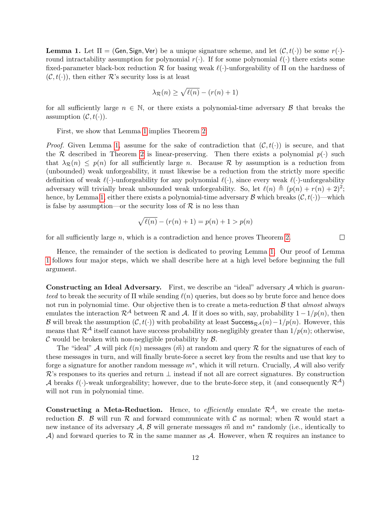<span id="page-12-0"></span>**Lemma 1.** Let  $\Pi = (\mathsf{Gen}, \mathsf{Sign}, \mathsf{Ver})$  be a unique signature scheme, and let  $(\mathcal{C}, t(\cdot))$  be some  $r(\cdot)$ round intractability assumption for polynomial  $r(\cdot)$ . If for some polynomial  $\ell(\cdot)$  there exists some fixed-parameter black-box reduction R for basing weak  $\ell(\cdot)$ -unforgeability of  $\Pi$  on the hardness of  $(C, t(\cdot))$ , then either R's security loss is at least

$$
\lambda_{\mathcal{R}}(n) \ge \sqrt{\ell(n)} - (r(n) + 1)
$$

for all sufficiently large  $n \in \mathbb{N}$ , or there exists a polynomial-time adversary  $\mathcal{B}$  that breaks the assumption  $(C, t(\cdot))$ .

First, we show that Lemma [1](#page-12-0) implies Theorem [2:](#page-11-1)

*Proof.* Given Lemma [1,](#page-12-0) assume for the sake of contradiction that  $(C, t(\cdot))$  is secure, and that the R described in Theorem [2](#page-11-1) is linear-preserving. Then there exists a polynomial  $p(\cdot)$  such that  $\lambda_{\mathcal{R}}(n) \leq p(n)$  for all sufficiently large n. Because R by assumption is a reduction from (unbounded) weak unforgeability, it must likewise be a reduction from the strictly more specific definition of weak  $\ell(\cdot)$ -unforgeability for any polynomial  $\ell(\cdot)$ , since every weak  $\ell(\cdot)$ -unforgeability adversary will trivially break unbounded weak unforgeability. So, let  $\ell(n) \triangleq (p(n) + r(n) + 2)^2$ ; hence, by Lemma [1,](#page-12-0) either there exists a polynomial-time adversary  $\mathcal B$  which breaks  $(\mathcal C, t(\cdot))$ —which is false by assumption—or the security loss of  $R$  is no less than

$$
\sqrt{\ell(n)} - (r(n) + 1) = p(n) + 1 > p(n)
$$

 $\Box$ 

for all sufficiently large  $n$ , which is a contradiction and hence proves Theorem [2.](#page-11-1)

Hence, the remainder of the section is dedicated to proving Lemma [1.](#page-12-0) Our proof of Lemma [1](#page-12-0) follows four major steps, which we shall describe here at a high level before beginning the full argument.

Constructing an Ideal Adversary. First, we describe an "ideal" adversary A which is *guaran*teed to break the security of  $\Pi$  while sending  $\ell(n)$  queries, but does so by brute force and hence does not run in polynomial time. Our objective then is to create a meta-reduction  $\beta$  that almost always emulates the interaction  $\mathcal{R}^{\mathcal{A}}$  between  $\mathcal{R}$  and  $\mathcal{A}$ . If it does so with, say, probability  $1 - 1/p(n)$ , then B will break the assumption  $(C, t(\cdot))$  with probability at least Success<sub>RA</sub> $(n)-1/p(n)$ . However, this means that  $\mathcal{R}^{\mathcal{A}}$  itself cannot have success probability non-negligibly greater than  $1/p(n)$ ; otherwise, C would be broken with non-negligible probability by  $\mathcal{B}$ .

The "ideal" A will pick  $\ell(n)$  messages  $(\vec{m})$  at random and query R for the signatures of each of these messages in turn, and will finally brute-force a secret key from the results and use that key to forge a signature for another random message  $m^*$ , which it will return. Crucially,  $\mathcal A$  will also verify  $\mathcal{R}$ 's responses to its queries and return  $\perp$  instead if not all are correct signatures. By construction A breaks  $\ell(\cdot)$ -weak unforgeability; however, due to the brute-force step, it (and consequently  $\mathcal{R}^{\mathcal{A}}$ ) will not run in polynomial time.

Constructing a Meta-Reduction. Hence, to *efficiently* emulate  $\mathcal{R}^{\mathcal{A}}$ , we create the metareduction B. B will run R and forward communicate with C as normal; when R would start a new instance of its adversary  $A, B$  will generate messages  $\vec{m}$  and  $m^*$  randomly (i.e., identically to A) and forward queries to R in the same manner as A. However, when R requires an instance to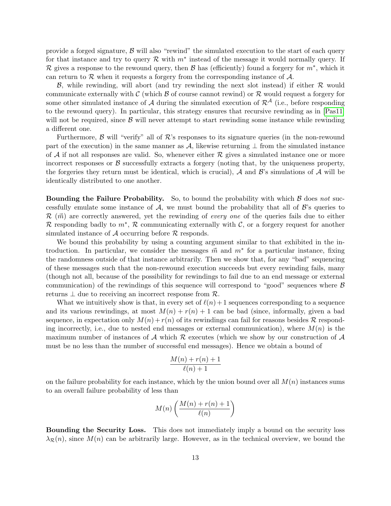provide a forged signature,  $\beta$  will also "rewind" the simulated execution to the start of each query for that instance and try to query  $R$  with  $m^*$  instead of the message it would normally query. If R gives a response to the rewound query, then B has (efficiently) found a forgery for  $m^*$ , which it can return to  $R$  when it requests a forgery from the corresponding instance of  $A$ .

B, while rewinding, will abort (and try rewinding the next slot instead) if either  $\mathcal R$  would communicate externally with  $\mathcal C$  (which  $\mathcal B$  of course cannot rewind) or  $\mathcal R$  would request a forgery for some other simulated instance of  $A$  during the simulated execution of  $\mathcal{R}^{\mathcal{A}}$  (i.e., before responding to the rewound query). In particular, this strategy ensures that recursive rewinding as in [\[Pas11\]](#page-31-5) will not be required, since  $\beta$  will never attempt to start rewinding some instance while rewinding a different one.

Furthermore,  $\beta$  will "verify" all of  $\mathcal{R}$ 's responses to its signature queries (in the non-rewound part of the execution) in the same manner as A, likewise returning  $\perp$  from the simulated instance of A if not all responses are valid. So, whenever either  $\mathcal R$  gives a simulated instance one or more incorrect responses or  $\beta$  successfully extracts a forgery (noting that, by the uniqueness property, the forgeries they return must be identical, which is crucial),  $A$  and  $B$ 's simulations of  $A$  will be identically distributed to one another.

**Bounding the Failure Probability.** So, to bound the probability with which  $\beta$  does not successfully emulate some instance of  $A$ , we must bound the probability that all of  $\mathcal{B}$ 's queries to  $\mathcal{R}$  ( $\vec{m}$ ) are correctly answered, yet the rewinding of every one of the queries fails due to either R responding badly to  $m^*$ , R communicating externally with C, or a forgery request for another simulated instance of  $A$  occurring before  $R$  responds.

We bound this probability by using a counting argument similar to that exhibited in the introduction. In particular, we consider the messages  $\vec{m}$  and  $m^*$  for a particular instance, fixing the randomness outside of that instance arbitrarily. Then we show that, for any "bad" sequencing of these messages such that the non-rewound execution succeeds but every rewinding fails, many (though not all, because of the possibility for rewindings to fail due to an end message or external communication) of the rewindings of this sequence will correspond to "good" sequences where  $\beta$ returns  $\perp$  due to receiving an incorrect response from  $\mathcal{R}$ .

What we intuitively show is that, in every set of  $\ell(n) + 1$  sequences corresponding to a sequence and its various rewindings, at most  $M(n) + r(n) + 1$  can be bad (since, informally, given a bad sequence, in expectation only  $M(n) + r(n)$  of its rewindings can fail for reasons besides R responding incorrectly, i.e., due to nested end messages or external communication), where  $M(n)$  is the maximum number of instances of A which  $R$  executes (which we show by our construction of A must be no less than the number of successful end messages). Hence we obtain a bound of

$$
\frac{M(n) + r(n) + 1}{\ell(n) + 1}
$$

on the failure probability for each instance, which by the union bound over all  $M(n)$  instances sums to an overall failure probability of less than

$$
M(n)\left(\frac{M(n)+r(n)+1}{\ell(n)}\right)
$$

Bounding the Security Loss. This does not immediately imply a bound on the security loss  $\lambda_{\mathcal{R}}(n)$ , since  $M(n)$  can be arbitrarily large. However, as in the technical overview, we bound the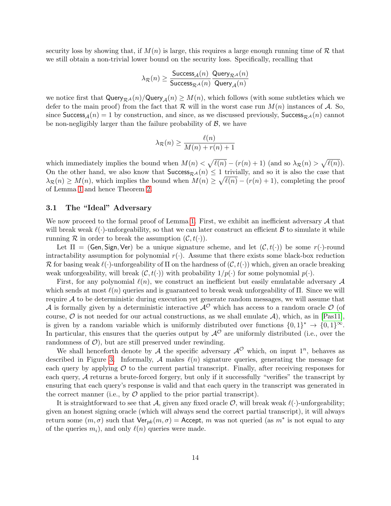security loss by showing that, if  $M(n)$  is large, this requires a large enough running time of R that we still obtain a non-trivial lower bound on the security loss. Specifically, recalling that

$$
\lambda_{\mathcal{R}}(n) \geq \frac{\textsf{Success}_{\mathcal{A}}(n)}{\textsf{Success}_{\mathcal{R}^{\mathcal{A}}}(n)}\frac{\textsf{Query}_{\mathcal{R}^{\mathcal{A}}}(n)}{\textsf{Query}_{\mathcal{A}}(n)}
$$

we notice first that  $\text{Query}_{\mathcal{R}^{\mathcal{A}}}(n)/\text{Query}_{\mathcal{A}}(n) \geq M(n)$ , which follows (with some subtleties which we defer to the main proof) from the fact that R will in the worst case run  $M(n)$  instances of A. So, since Success<sub>A</sub>(n) = 1 by construction, and since, as we discussed previously, Success<sub>RA</sub>(n) cannot be non-negligibly larger than the failure probability of  $\mathcal{B}$ , we have

$$
\lambda_{\mathcal{R}}(n) \ge \frac{\ell(n)}{M(n) + r(n) + 1}
$$

which immediately implies the bound when  $M(n) < \sqrt{\ell(n)} - (r(n) + 1)$  (and so  $\lambda_{\mathcal{R}}(n) > \sqrt{\ell(n)}$ ). On the other hand, we also know that  $\text{Success}_{\mathcal{R}^{\mathcal{A}}}(n) \leq 1$  trivially, and so it is also the case that  $\lambda_{\mathcal{R}}(n) \geq M(n)$ , which implies the bound when  $M(n) \geq \sqrt{\ell(n)} - (r(n) + 1)$ , completing the proof of Lemma [1](#page-12-0) and hence Theorem [2.](#page-11-1)

### <span id="page-14-0"></span>3.1 The "Ideal" Adversary

We now proceed to the formal proof of Lemma [1.](#page-12-0) First, we exhibit an inefficient adversary  $A$  that will break weak  $\ell(\cdot)$ -unforgeability, so that we can later construct an efficient B to simulate it while running R in order to break the assumption  $(C, t(\cdot))$ .

Let  $\Pi = (\mathsf{Gen}, \mathsf{Sign}, \mathsf{Ver})$  be a unique signature scheme, and let  $(\mathcal{C}, t(\cdot))$  be some  $r(\cdot)$ -round intractability assumption for polynomial  $r(\cdot)$ . Assume that there exists some black-box reduction R for basing weak  $\ell(\cdot)$ -unforgeability of  $\Pi$  on the hardness of  $(\mathcal{C}, t(\cdot))$  which, given an oracle breaking weak unforgeability, will break  $(C, t(\cdot))$  with probability  $1/p(\cdot)$  for some polynomial  $p(\cdot)$ .

First, for any polynomial  $\ell(n)$ , we construct an inefficient but easily emulatable adversary A which sends at most  $\ell(n)$  queries and is guaranteed to break weak unforgeability of  $\Pi$ . Since we will require  $A$  to be deterministic during execution yet generate random messages, we will assume that A is formally given by a deterministic interactive  $A^{\mathcal{O}}$  which has access to a random oracle  $\mathcal{O}$  (of course,  $\mathcal O$  is not needed for our actual constructions, as we shall emulate  $\mathcal A$ ), which, as in [\[Pas11\]](#page-31-5), is given by a random variable which is uniformly distributed over functions  $\{0,1\}^* \to \{0,1\}^{\infty}$ . In particular, this ensures that the queries output by  $\mathcal{A}^{\mathcal{O}}$  are uniformly distributed (i.e., over the randomness of  $\mathcal{O}$ ), but are still preserved under rewinding.

We shall henceforth denote by A the specific adversary  $\mathcal{A}^{\mathcal{O}}$  which, on input  $1^n$ , behaves as described in Figure [3.](#page-15-0) Informally, A makes  $\ell(n)$  signature queries, generating the message for each query by applying  $\mathcal O$  to the current partial transcript. Finally, after receiving responses for each query, A returns a brute-forced forgery, but only if it successfully "verifies" the transcript by ensuring that each query's response is valid and that each query in the transcript was generated in the correct manner (i.e., by  $\mathcal O$  applied to the prior partial transcript).

It is straightforward to see that A, given any fixed oracle  $\mathcal{O}$ , will break weak  $\ell(\cdot)$ -unforgeability; given an honest signing oracle (which will always send the correct partial transcript), it will always return some  $(m, \sigma)$  such that  $\text{Ver}_{pk}(m, \sigma) = \text{Accept}, m$  was not queried (as  $m^*$  is not equal to any of the queries  $m_i$ , and only  $\ell(n)$  queries were made.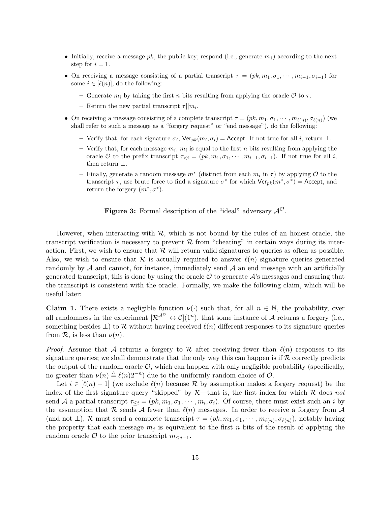- <span id="page-15-0"></span>• Initially, receive a message  $pk$ , the public key; respond (i.e., generate  $m_1$ ) according to the next step for  $i = 1$ .
- On receiving a message consisting of a partial transcript  $\tau = (pk, m_1, \sigma_1, \cdots, m_{i-1}, \sigma_{i-1})$  for some  $i \in [\ell(n)]$ , do the following:
	- Generate  $m_i$  by taking the first n bits resulting from applying the oracle  $\mathcal O$  to  $\tau$ .
	- Return the new partial transcript  $\tau || m_i$ .
- On receiving a message consisting of a complete transcript  $\tau = (pk, m_1, \sigma_1, \cdots, m_{\ell(n)}, \sigma_{\ell(n)})$  (we shall refer to such a message as a "forgery request" or "end message"), do the following:
	- Verify that, for each signature  $\sigma_i$ , Ver<sub>pk</sub> $(m_i, \sigma_i)$  = Accept. If not true for all i, return  $\perp$ .
	- Verify that, for each message  $m_i$ ,  $m_i$  is equal to the first n bits resulting from applying the oracle  $\mathcal O$  to the prefix transcript  $\tau_{\leq i} = (pk, m_1, \sigma_1, \cdots, m_{i-1}, \sigma_{i-1})$ . If not true for all i, then return ⊥.
	- Finally, generate a random message  $m^*$  (distinct from each  $m_i$  in τ) by applying  $O$  to the transcript  $\tau$ , use brute force to find a signature  $\sigma^*$  for which  $\text{Ver}_{pk}(m^*, \sigma^*) = \text{Accept}$ , and return the forgery  $(m^*, \sigma^*)$ .

**Figure 3:** Formal description of the "ideal" adversary  $\mathcal{A}^{\circ}$ .

However, when interacting with  $\mathcal{R}$ , which is not bound by the rules of an honest oracle, the transcript verification is necessary to prevent  $R$  from "cheating" in certain ways during its interaction. First, we wish to ensure that  $\mathcal R$  will return valid signatures to queries as often as possible. Also, we wish to ensure that  $\mathcal R$  is actually required to answer  $\ell(n)$  signature queries generated randomly by  $A$  and cannot, for instance, immediately send  $A$  an end message with an artificially generated transcript; this is done by using the oracle  $\mathcal O$  to generate  $\mathcal A$ 's messages and ensuring that the transcript is consistent with the oracle. Formally, we make the following claim, which will be useful later:

<span id="page-15-1"></span>**Claim 1.** There exists a negligible function  $\nu(\cdot)$  such that, for all  $n \in \mathbb{N}$ , the probability, over all randomness in the experiment  $[\mathcal{R}^{\mathcal{A}^{\mathcal{O}}} \leftrightarrow \mathcal{C}](1^n)$ , that some instance of A returns a forgery (i.e., something besides  $\perp$ ) to R without having received  $\ell(n)$  different responses to its signature queries from  $\mathcal{R}$ , is less than  $\nu(n)$ .

*Proof.* Assume that A returns a forgery to R after receiving fewer than  $\ell(n)$  responses to its signature queries; we shall demonstrate that the only way this can happen is if  $R$  correctly predicts the output of the random oracle  $\mathcal{O}$ , which can happen with only negligible probability (specifically, no greater than  $\nu(n) \triangleq \ell(n)2^{-n}$  due to the uniformly random choice of  $\mathcal{O}$ .

Let  $i \in [\ell(n) - 1]$  (we exclude  $\ell(n)$  because R by assumption makes a forgery request) be the index of the first signature query "skipped" by  $\mathcal{R}$ —that is, the first index for which  $\mathcal R$  does not send A a partial transcript  $\tau_{\leq i} = (pk, m_1, \sigma_1, \cdots, m_i, \sigma_i)$ . Of course, there must exist such an i by the assumption that R sends A fewer than  $\ell(n)$  messages. In order to receive a forgery from A (and not  $\perp$ ), R must send a complete transcript  $\tau = (pk, m_1, \sigma_1, \cdots, m_{\ell(n)}, \sigma_{\ell(n)})$ , notably having the property that each message  $m_j$  is equivalent to the first n bits of the result of applying the random oracle  $\mathcal O$  to the prior transcript  $m_{\leq i-1}$ .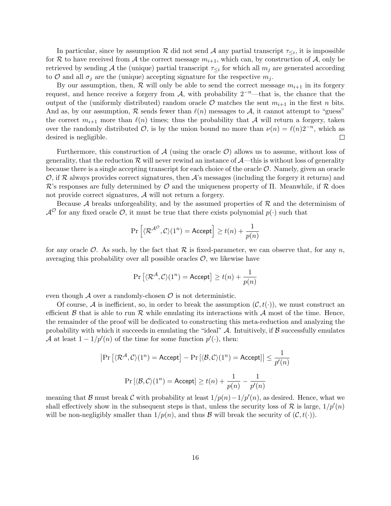In particular, since by assumption R did not send A any partial transcript  $\tau_{\leq i}$ , it is impossible for R to have received from A the correct message  $m_{i+1}$ , which can, by construction of A, only be retrieved by sending A the (unique) partial transcript  $\tau_{\leq i}$  for which all  $m_j$  are generated according to O and all  $\sigma_i$  are the (unique) accepting signature for the respective  $m_i$ .

By our assumption, then,  $R$  will only be able to send the correct message  $m_{i+1}$  in its forgery request, and hence receive a forgery from A, with probability  $2^{-n}$ —that is, the chance that the output of the (uniformly distributed) random oracle  $\mathcal O$  matches the sent  $m_{i+1}$  in the first n bits. And as, by our assumption, R sends fewer than  $\ell(n)$  messages to A, it cannot attempt to "guess" the correct  $m_{i+1}$  more than  $\ell(n)$  times; thus the probability that A will return a forgery, taken over the randomly distributed  $\mathcal{O}$ , is by the union bound no more than  $\nu(n) = \ell(n)2^{-n}$ , which as desired is negligible.  $\Box$ 

Furthermore, this construction of A (using the oracle  $\mathcal{O}$ ) allows us to assume, without loss of generality, that the reduction  $\mathcal R$  will never rewind an instance of  $\mathcal A$ —this is without loss of generality because there is a single accepting transcript for each choice of the oracle  $\mathcal O$ . Namely, given an oracle  $\mathcal{O}$ , if  $\mathcal R$  always provides correct signatures, then  $\mathcal A$ 's messages (including the forgery it returns) and  $\mathcal{R}$ 's responses are fully determined by  $\mathcal O$  and the uniqueness property of  $\Pi$ . Meanwhile, if  $\mathcal R$  does not provide correct signatures, A will not return a forgery.

Because  $A$  breaks unforgeability, and by the assumed properties of  $R$  and the determinism of  $\mathcal{A}^{\mathcal{O}}$  for any fixed oracle  $\mathcal{O}$ , it must be true that there exists polynomial  $p(\cdot)$  such that

$$
\Pr\left[\langle \mathcal{R}^{\mathcal{A}^{\mathcal{O}}}, \mathcal{C} \rangle (1^n) = \mathsf{Accept}\right] \geq t(n) + \frac{1}{p(n)}
$$

for any oracle  $\mathcal O$ . As such, by the fact that  $\mathcal R$  is fixed-parameter, we can observe that, for any n, averaging this probability over all possible oracles  $\mathcal{O}$ , we likewise have

$$
\Pr\left[\langle \mathcal{R}^{\mathcal{A}}, \mathcal{C} \rangle(1^n) = \mathsf{Accept}\right] \ge t(n) + \frac{1}{p(n)}
$$

even though  $\mathcal A$  over a randomly-chosen  $\mathcal O$  is not deterministic.

Of course, A is inefficient, so, in order to break the assumption  $(C, t(\cdot))$ , we must construct an efficient B that is able to run R while emulating its interactions with A most of the time. Hence, the remainder of the proof will be dedicated to constructing this meta-reduction and analyzing the probability with which it succeeds in emulating the "ideal"  $A$ . Intuitively, if  $B$  successfully emulates A at least  $1 - 1/p'(n)$  of the time for some function  $p'(\cdot)$ , then:

$$
\left| \Pr \left[ \langle \mathcal{R}^{\mathcal{A}}, \mathcal{C} \rangle (1^n) = \mathsf{Accept} \right] - \Pr \left[ \langle \mathcal{B}, \mathcal{C} \rangle (1^n) = \mathsf{Accept} \right] \right| \le \frac{1}{p'(n)}
$$
  

$$
\Pr \left[ \langle \mathcal{B}, \mathcal{C} \rangle (1^n) = \mathsf{Accept} \right] \ge t(n) + \frac{1}{p(n)} - \frac{1}{p'(n)}
$$

meaning that B must break C with probability at least  $1/p(n) - 1/p'(n)$ , as desired. Hence, what we shall effectively show in the subsequent steps is that, unless the security loss of  $\mathcal R$  is large,  $1/p'(n)$ will be non-negligibly smaller than  $1/p(n)$ , and thus B will break the security of  $(C, t(\cdot))$ .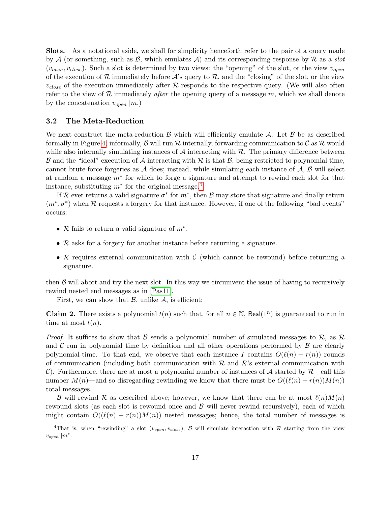Slots. As a notational aside, we shall for simplicity henceforth refer to the pair of a query made by A (or something, such as B, which emulates A) and its corresponding response by R as a slot  $(v_{open}, v_{close})$ . Such a slot is determined by two views: the "opening" of the slot, or the view  $v_{open}$ of the execution of  $R$  immediately before  $A$ 's query to  $R$ , and the "closing" of the slot, or the view  $v_{close}$  of the execution immediately after R responds to the respective query. (We will also often refer to the view of  $R$  immediately *after* the opening query of a message  $m$ , which we shall denote by the concatenation  $v_{open}||m.$ )

#### <span id="page-17-0"></span>3.2 The Meta-Reduction

We next construct the meta-reduction  $\beta$  which will efficiently emulate  $\mathcal{A}$ . Let  $\beta$  be as described formally in Figure [4;](#page-18-0) informally, B will run R internally, forwarding communication to C as R would while also internally simulating instances of  $A$  interacting with  $R$ . The primary difference between  $\beta$  and the "ideal" execution of  $\mathcal A$  interacting with  $\mathcal R$  is that  $\mathcal B$ , being restricted to polynomial time, cannot brute-force forgeries as  $A$  does; instead, while simulating each instance of  $A$ ,  $B$  will select at random a message m<sup>∗</sup> for which to forge a signature and attempt to rewind each slot for that instance, substituting  $m^*$  for the original message.<sup>[4](#page-17-1)</sup>

If R ever returns a valid signature  $\sigma^*$  for  $m^*$ , then B may store that signature and finally return  $(m^*, \sigma^*)$  when R requests a forgery for that instance. However, if one of the following "bad events" occurs:

- $R$  fails to return a valid signature of  $m^*$ .
- $R$  asks for a forgery for another instance before returning a signature.
- R requires external communication with  $\mathcal C$  (which cannot be rewound) before returning a signature.

then  $\beta$  will abort and try the next slot. In this way we circumvent the issue of having to recursively rewind nested end messages as in [\[Pas11\]](#page-31-5).

First, we can show that  $\beta$ , unlike  $\mathcal{A}$ , is efficient:

**Claim 2.** There exists a polynomial  $t(n)$  such that, for all  $n \in \mathbb{N}$ , Real(1<sup>n</sup>) is guaranteed to run in time at most  $t(n)$ .

*Proof.* It suffices to show that B sends a polynomial number of simulated messages to R, as R and  $\mathcal C$  run in polynomial time by definition and all other operations performed by  $\mathcal B$  are clearly polynomial-time. To that end, we observe that each instance I contains  $O(\ell(n) + r(n))$  rounds of communication (including both communication with  $R$  and  $R$ 's external communication with C). Furthermore, there are at most a polynomial number of instances of A started by  $\mathcal{R}$ —call this number  $M(n)$ —and so disregarding rewinding we know that there must be  $O((\ell(n) + r(n))M(n))$ total messages.

B will rewind R as described above; however, we know that there can be at most  $\ell(n)M(n)$ rewound slots (as each slot is rewound once and  $\beta$  will never rewind recursively), each of which might contain  $O((\ell(n) + r(n))M(n))$  nested messages; hence, the total number of messages is

<span id="page-17-1"></span><sup>&</sup>lt;sup>4</sup>That is, when "rewinding" a slot ( $v_{open}, v_{close}$ ),  $\beta$  will simulate interaction with  $\beta$  starting from the view  $v_{open}||m^*$ .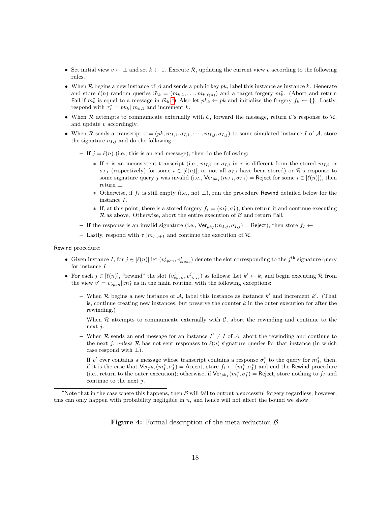- <span id="page-18-0"></span>• Set initial view  $v \leftarrow \perp$  and set  $k \leftarrow 1$ . Execute R, updating the current view v according to the following rules.
- When  $\mathcal R$  begins a new instance of  $\mathcal A$  and sends a public key  $pk$ , label this instance as instance k. Generate and store  $\ell(n)$  random queries  $\vec{m}_k = (m_{k,1}, \ldots, m_{k,\ell(n)})$  and a target forgery  $m_k^*$ . (Abort and return F[a](#page-18-1)il if  $m_k^*$  is equal to a message in  $\vec{m}_k$ .<sup>*a*</sup>) Also let  $pk_k \leftarrow pk$  and initialize the forgery  $f_k \leftarrow \{\}$ . Lastly, respond with  $\tau_k^* = p k_k || m_{k,1}$  and increment k.
- When  $R$  attempts to communicate externally with  $C$ , forward the message, return  $C$ 's response to  $R$ , and update  $v$  accordingly.
- When R sends a transcript  $\tau = (pk, m_{I,1}, \sigma_{I,1}, \cdots, m_{I,j}, \sigma_{I,j})$  to some simulated instance I of A, store the signature  $\sigma_{I,j}$  and do the following:
	- If  $j = \ell(n)$  (i.e., this is an end message), then do the following:
		- $∗$  If  $τ$  is an inconsistent transcript (i.e.,  $m_{I,i}$  or  $σ_{I,i}$  in  $τ$  is different from the stored  $m_{I,i}$  or  $\sigma_{I,i}$  (respectively) for some  $i \in [\ell(n)]$ , or not all  $\sigma_{I,i}$  have been stored) or R's response to some signature query j was invalid (i.e.,  $\textsf{Ver}_{pk_I}(m_{I,i}, \sigma_{I,i}) = \textsf{Reject}$  for some  $i \in [\ell(n)]$ ), then return ⊥.
		- ∗ Otherwise, if  $f_I$  is still empty (i.e., not  $\bot$ ), run the procedure Rewind detailed below for the instance I.
		- ∗ If, at this point, there is a stored forgery  $f_I = (m_I^*, \sigma_I^*)$ , then return it and continue executing  $\mathcal R$  as above. Otherwise, abort the entire execution of  $\mathcal B$  and return Fail.
	- If the response is an invalid signature (i.e.,  $\textsf{Ver}_{pk_I}(m_{I,j}, \sigma_{I,j}) = \textsf{Reject}$ ), then store  $f_I \leftarrow \bot$ .
	- Lastly, respond with  $\tau || m_{I,j+1}$  and continue the execution of  $\mathcal{R}$ .

#### Rewind procedure:

- Given instance I, for  $j \in [\ell(n)]$  let  $(v_{open}^j, v_{close}^j)$  denote the slot corresponding to the  $j^{\text{th}}$  signature query for instance I.
- For each  $j \in [\ell(n)]$ , "rewind" the slot  $(v_{open}^j, v_{close}^j)$  as follows: Let  $k' \leftarrow k$ , and begin executing R from the view  $v' = v_{open}^j ||m_I^*$  as in the main routine, with the following exceptions:
	- When  $R$  begins a new instance of  $A$ , label this instance as instance k' and increment k'. (That is, continue creating new instances, but preserve the counter  $k$  in the outer execution for after the rewinding.)
	- When  $R$  attempts to communicate externally with  $C$ , abort the rewinding and continue to the next  $j$ .
	- When R sends an end message for an instance  $I' \neq I$  of A, abort the rewinding and continue to the next j, unless R has not sent responses to  $\ell(n)$  signature queries for that instance (in which case respond with  $\perp$ ).
	- − If v' ever contains a message whose transcript contains a response  $\sigma_l^*$  to the query for  $m_l^*$ , then, if it is the case that  $\text{Ver}_{pk_I}(m_I^*, \sigma_I^*) = \text{Accept}, \text{ store } f_i \leftarrow (m_I^*, \sigma_I^*)$  and end the Rewind procedure (i.e., return to the outer execution); otherwise, if  $Ver_{pkI}(m_I^*, \sigma_I^*) =$  Reject, store nothing to  $f_I$  and continue to the next  $j$ .

<span id="page-18-1"></span><sup>a</sup>Note that in the case where this happens, then  $\beta$  will fail to output a successful forgery regardless; however, this can only happen with probability negligible in  $n$ , and hence will not affect the bound we show.

Figure 4: Formal description of the meta-reduction B.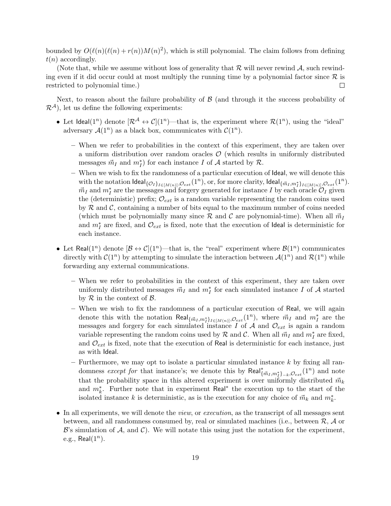bounded by  $O(\ell(n)(\ell(n) + r(n))M(n)^2)$ , which is still polynomial. The claim follows from defining  $t(n)$  accordingly.

(Note that, while we assume without loss of generality that  $\mathcal R$  will never rewind  $\mathcal A$ , such rewinding even if it did occur could at most multiply the running time by a polynomial factor since  $\mathcal R$  is restricted to polynomial time.)  $\Box$ 

Next, to reason about the failure probability of  $\beta$  (and through it the success probability of  $\mathcal{R}^{\mathcal{A}}$ , let us define the following experiments:

- Let Ideal(1<sup>n</sup>) denote  $[\mathcal{R}^{\mathcal{A}} \leftrightarrow \mathcal{C}](1^n)$ —that is, the experiment where  $\mathcal{R}(1^n)$ , using the "ideal" adversary  $\mathcal{A}(1^n)$  as a black box, communicates with  $\mathcal{C}(1^n)$ .
	- When we refer to probabilities in the context of this experiment, they are taken over a uniform distribution over random oracles  $\mathcal O$  (which results in uniformly distributed messages  $\vec{m}_I$  and  $m_I^*$ ) for each instance I of A started by R.
	- When we wish to fix the randomness of a particular execution of Ideal, we will denote this with the notation  $\mathsf{Ideal}_{\{\mathcal{O}_I\}_{I \in [M(n)]}, \mathcal{O}_{ext}}(1^n)$ , or, for more clarity,  $\mathsf{Ideal}_{\{\vec{m}_I, m^*_I\}_{I \in [M(n)]}, \mathcal{O}_{ext}}(1^n)$ .  $\vec{m}_I$  and  $m_I^*$  are the messages and forgery generated for instance I by each oracle  $\mathcal{O}_I$  given the (deterministic) prefix;  $\mathcal{O}_{ext}$  is a random variable representing the random coins used by  $\mathcal R$  and  $\mathcal C$ , containing a number of bits equal to the maximum number of coins needed (which must be polynomially many since R and C are polynomial-time). When all  $\vec{m}_I$ and  $m_I^*$  are fixed, and  $\mathcal{O}_{ext}$  is fixed, note that the execution of Ideal is deterministic for each instance.
- Let Real(1<sup>n</sup>) denote  $[\mathcal{B} \leftrightarrow \mathcal{C}](1^n)$ —that is, the "real" experiment where  $\mathcal{B}(1^n)$  communicates directly with  $\mathcal{C}(1^n)$  by attempting to simulate the interaction between  $\mathcal{A}(1^n)$  and  $\mathcal{R}(1^n)$  while forwarding any external communications.
	- When we refer to probabilities in the context of this experiment, they are taken over uniformly distributed messages  $\vec{m}_I$  and  $m_I^*$  for each simulated instance I of A started by  $R$  in the context of  $\beta$ .
	- When we wish to fix the randomness of a particular execution of Real, we will again denote this with the notation  $\text{Real}_{\{\vec{m}_I, m_I^*\}_{I \in [M(n)]}, \mathcal{O}_{ext}}(1^n)$ , where  $\vec{m}_I$  and  $m_I^*$  are the messages and forgery for each simulated instance I of A and  $\mathcal{O}_{ext}$  is again a random variable representing the random coins used by  $R$  and  $C$ . When all  $\vec{m}_I$  and  $m_I^*$  are fixed, and  $\mathcal{O}_{ext}$  is fixed, note that the execution of Real is deterministic for each instance, just as with Ideal.
	- Furthermore, we may opt to isolate a particular simulated instance  $k$  by fixing all randomness except for that instance's; we denote this by  $\text{Real}^*_{\{\vec{m}_I,m_I^*\}_{-k},\mathcal{O}_{ext}}(1^n)$  and note that the probability space in this altered experiment is over uniformly distributed  $\vec{m}_k$ and  $m_k^*$ . Further note that in experiment Real<sup>\*</sup> the execution up to the start of the isolated instance k is deterministic, as is the execution for any choice of  $\vec{m}_k$  and  $m_k^*$ .
- In all experiments, we will denote the *view*, or *execution*, as the transcript of all messages sent between, and all randomness consumed by, real or simulated machines (i.e., between  $\mathcal{R}, \mathcal{A}$  or  $\mathcal{B}$ 's simulation of A, and C). We will notate this using just the notation for the experiment, e.g.,  $Real(1^n)$ .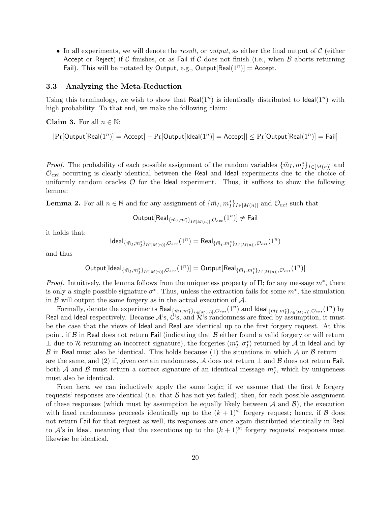• In all experiments, we will denote the *result*, or *output*, as either the final output of  $C$  (either Accept or Reject) if C finishes, or as Fail if C does not finish (i.e., when B aborts returning Fail). This will be notated by Output, e.g., Output  $[Real(1<sup>n</sup>)] = Accept.$ 

### <span id="page-20-0"></span>3.3 Analyzing the Meta-Reduction

Using this terminology, we wish to show that Real( $1<sup>n</sup>$ ) is identically distributed to Ideal( $1<sup>n</sup>$ ) with high probability. To that end, we make the following claim:

<span id="page-20-1"></span>**Claim 3.** For all  $n \in \mathbb{N}$ :

 $|\Pr[\text{Output}[\text{Real}(1^n)] = \text{Accept}] - \Pr[\text{Output}[\text{Ideal}(1^n)] = \text{Accept}] | \leq \Pr[\text{Output}[\text{Real}(1^n)] = \text{Tail}]$ 

*Proof.* The probability of each possible assignment of the random variables  $\{\vec{m}_I, m_I^*\}_{I \in [M(n)]}$  and  $\mathcal{O}_{ext}$  occurring is clearly identical between the Real and Ideal experiments due to the choice of uniformly random oracles  $O$  for the Ideal experiment. Thus, it suffices to show the following lemma:

**Lemma 2.** For all  $n \in \mathbb{N}$  and for any assignment of  $\{\vec{m}_I, m_I^*\}_{I \in [M(n)]}$  and  $\mathcal{O}_{ext}$  such that

$$
\mathsf{Output}[\mathsf{Real}_{\{\vec{m}_I,m^*_I\}_{I\in[M(n)]},\mathcal{O}_{ext}}(1^n)] \neq \mathsf{fail}
$$

it holds that:

$$
\mathsf{Ideal}_{\{\vec{m}_I,m_I^*\}_{I\in[M(n)]},\mathcal{O}_{ext}}(1^n) = \mathsf{Real}_{\{\vec{m}_I,m_I^*\}_{I\in[M(n)]},\mathcal{O}_{ext}}(1^n)
$$

and thus

$$
\mathsf{Output[Ideal}_{\{\vec{m}_I,m_I^*\}_{I\in[M(n)]},\mathcal{O}_{ext}}(1^n)] = \mathsf{Output[Real}_{\{\vec{m}_I,m_I^*\}_{I\in[M(n)]},\mathcal{O}_{ext}}(1^n)]
$$

Proof. Intuitively, the lemma follows from the uniqueness property of  $\Pi$ ; for any message  $m^*$ , there is only a single possible signature  $\sigma^*$ . Thus, unless the extraction fails for some  $m^*$ , the simulation in  $\beta$  will output the same forgery as in the actual execution of  $\mathcal{A}$ .

Formally, denote the experiments  $\text{Real}_{\{\vec{m}_I, m_I^*\}_{I \in [M(n)]}, \mathcal{O}_{ext}}(1^n)$  and  $\text{Ideal}_{\{\vec{m}_I, m_I^*\}_{I \in [M(n)]}, \mathcal{O}_{ext}}(1^n)$  by Real and Ideal respectively. Because  $\mathcal{A}$ 's,  $\mathcal{C}$ 's, and  $\mathcal{R}$ 's randomness are fixed by assumption, it must be the case that the views of Ideal and Real are identical up to the first forgery request. At this point, if  $\beta$  in Real does not return Fail (indicating that  $\beta$  either found a valid forgery or will return ⊥ due to R returning an incorrect signature), the forgeries  $(m_I^*, \sigma_I^*)$  returned by A in Ideal and by B in Real must also be identical. This holds because (1) the situations in which A or B return  $\perp$ are the same, and (2) if, given certain randomness, A does not return  $\perp$  and B does not return Fail, both A and B must return a correct signature of an identical message  $m_I^*$ , which by uniqueness must also be identical.

From here, we can inductively apply the same logic; if we assume that the first  $k$  forgery requests' responses are identical (i.e. that  $\beta$  has not yet failed), then, for each possible assignment of these responses (which must by assumption be equally likely between  $A$  and  $B$ ), the execution with fixed randomness proceeds identically up to the  $(k+1)^{st}$  forgery request; hence, if B does not return Fail for that request as well, its responses are once again distributed identically in Real to A's in Ideal, meaning that the executions up to the  $(k+1)$ <sup>st</sup> forgery requests' responses must likewise be identical.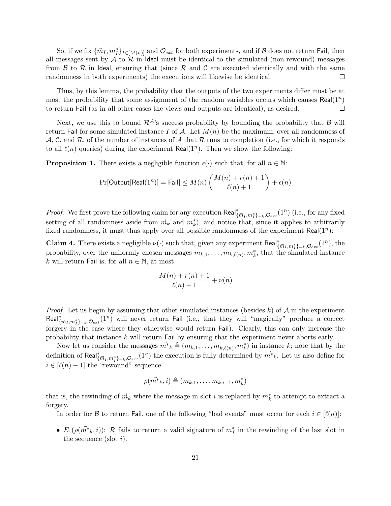So, if we fix  $\{\vec{m}_I, m_I^*\}_{I \in [M(n)]}$  and  $\mathcal{O}_{ext}$  for both experiments, and if  $\mathcal B$  does not return Fail, then all messages sent by  $\mathcal A$  to  $\mathcal R$  in Ideal must be identical to the simulated (non-rewound) messages from  $\beta$  to  $\beta$  in Ideal, ensuring that (since  $\beta$  and  $\beta$  are executed identically and with the same randomness in both experiments) the executions will likewise be identical.  $\Box$ 

Thus, by this lemma, the probability that the outputs of the two experiments differ must be at most the probability that some assignment of the random variables occurs which causes Real $(1^n)$ to return Fail (as in all other cases the views and outputs are identical), as desired.  $\Box$ 

Next, we use this to bound  $\mathcal{R}^{\mathcal{A}}$ 's success probability by bounding the probability that  $\mathcal{B}$  will return Fail for some simulated instance I of A. Let  $M(n)$  be the maximum, over all randomness of  $\mathcal{A}, \mathcal{C}, \text{ and } \mathcal{R}, \text{ of the number of instances of } \mathcal{A} \text{ that } \mathcal{R} \text{ runs to completion (i.e., for which it responds$ to all  $\ell(n)$  queries) during the experiment Real(1<sup>n</sup>). Then we show the following:

<span id="page-21-1"></span>**Proposition 1.** There exists a negligible function  $\epsilon(\cdot)$  such that, for all  $n \in \mathbb{N}$ :

$$
\Pr[\mathsf{Output}[\mathsf{Real}(1^n)] = \mathsf{Tail}] \le M(n) \left( \frac{M(n) + r(n) + 1}{\ell(n) + 1} \right) + \epsilon(n)
$$

*Proof.* We first prove the following claim for any execution  $\text{Real}^*_{\{\vec{m}_I, m_I^*\}_{-k}, \mathcal{O}_{ext}}(1^n)$  (i.e., for any fixed setting of all randomness aside from  $\vec{m}_k$  and  $m_k^*$ ), and notice that, since it applies to arbitrarily fixed randomness, it must thus apply over all possible randomness of the experiment Real $(1^n)$ :

<span id="page-21-0"></span>**Claim 4.** There exists a negligible  $\nu(\cdot)$  such that, given any experiment Real<sup>\*</sup>{ $\vec{m}_I, m_I^*$ }<sub>-k</sub>, $\mathcal{O}_{ext}(1^n)$ , the probability, over the uniformly chosen messages  $m_{k,1}, \ldots, m_{k,\ell(n)}, m_k^*$ , that the simulated instance k will return Fail is, for all  $n \in \mathbb{N}$ , at most

$$
\frac{M(n) + r(n) + 1}{\ell(n) + 1} + \nu(n)
$$

*Proof.* Let us begin by assuming that other simulated instances (besides k) of  $A$  in the experiment  $\mathsf{Real}_{\{\vec{m}_I,m_I^*\}_{-k},\mathcal{O}_{ext}}^*(1^n)$  will never return Fail (i.e., that they will "magically" produce a correct forgery in the case where they otherwise would return Fail). Clearly, this can only increase the probability that instance k will return Fail by ensuring that the experiment never aborts early.

Now let us consider the messages  $\vec{m}^*_{k} \triangleq (m_{k,1}, \ldots, m_{k,\ell(n)}, m_k^*)$  in instance k; note that by the definition of  $\text{Real}^*_{\{\vec{m}_I,m_I^*\}_{-k},\mathcal{O}_{ext}}(1^n)$  the execution is fully determined by  $\vec{m^*}_k$ . Let us also define for  $i \in [\ell(n) - 1]$  the "rewound" sequence

$$
\rho(\vec{m^*}_k, i) \triangleq (m_{k,1}, \ldots, m_{k,i-1}, m_k^*)
$$

that is, the rewinding of  $\vec{m}_k$  where the message in slot i is replaced by  $m_k^*$  to attempt to extract a forgery.

In order for B to return Fail, one of the following "bad events" must occur for each  $i \in [\ell(n)]$ :

•  $E_1(\rho(\vec{m}^*_{k}, i))$ : R fails to return a valid signature of  $m_I^*$  in the rewinding of the last slot in the sequence (slot  $i$ ).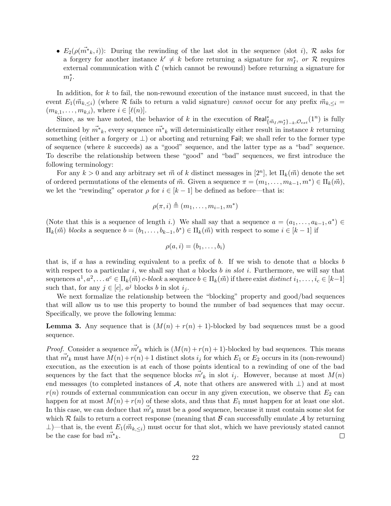•  $E_2(\rho(\vec{m}^*_{k}, i))$ : During the rewinding of the last slot in the sequence (slot i), R asks for a forgery for another instance  $k' \neq k$  before returning a signature for  $m_I^*$ , or R requires external communication with  $\mathcal C$  (which cannot be rewound) before returning a signature for  $m_I^*$ .

In addition, for k to fail, the non-rewound execution of the instance must succeed, in that the event  $E_1(\vec{m}_{k,\leq i})$  (where R fails to return a valid signature) cannot occur for any prefix  $\vec{m}_{k,\leq i} =$  $(m_{k,1}, \ldots, m_{k,i}),$  where  $i \in [\ell(n)].$ 

Since, as we have noted, the behavior of k in the execution of  $\text{Real}^*_{\{\vec{m}_I,m_I^*\}_{-k},\mathcal{O}_{ext}}(1^n)$  is fully determined by  $\vec{m}$ <sup>\*</sup><sub>k</sub>, every sequence  $\vec{m}$ <sup>\*</sup><sub>k</sub> will deterministically either result in instance k returning something (either a forgery or  $\perp$ ) or aborting and returning Fail; we shall refer to the former type of sequence (where k succeeds) as a "good" sequence, and the latter type as a "bad" sequence. To describe the relationship between these "good" and "bad" sequences, we first introduce the following terminology:

For any  $k > 0$  and any arbitrary set  $\vec{m}$  of k distinct messages in  $[2<sup>n</sup>]$ , let  $\Pi_k(\vec{m})$  denote the set of ordered permutations of the elements of  $\vec{m}$ . Given a sequence  $\pi = (m_1, \ldots, m_{k-1}, m^*) \in \Pi_k(\vec{m})$ , we let the "rewinding" operator  $\rho$  for  $i \in [k-1]$  be defined as before—that is:

$$
\rho(\pi, i) \triangleq (m_1, \ldots, m_{i-1}, m^*)
$$

(Note that this is a sequence of length i.) We shall say that a sequence  $a = (a_1, \ldots, a_{k-1}, a^*) \in$  $\Pi_k(\vec{m})$  blocks a sequence  $b = (b_1, \ldots, b_{k-1}, b^*) \in \Pi_k(\vec{m})$  with respect to some  $i \in [k-1]$  if

$$
\rho(a,i)=(b_1,\ldots,b_i)
$$

that is, if a has a rewinding equivalent to a prefix of b. If we wish to denote that a blocks b with respect to a particular i, we shall say that a blocks b in slot i. Furthermore, we will say that sequences  $a^1, a^2, \ldots a^c \in \Pi_k(\vec{m})$  c-block a sequence  $b \in \Pi_k(\vec{m})$  if there exist distinct  $i_1, \ldots, i_c \in [k-1]$ such that, for any  $j \in [c]$ ,  $a^j$  blocks b in slot  $i_j$ .

We next formalize the relationship between the "blocking" property and good/bad sequences that will allow us to use this property to bound the number of bad sequences that may occur. Specifically, we prove the following lemma:

<span id="page-22-0"></span>**Lemma 3.** Any sequence that is  $(M(n) + r(n) + 1)$ -blocked by bad sequences must be a good sequence.

*Proof.* Consider a sequence  $\vec{m'}_k$  which is  $(M(n) + r(n) + 1)$ -blocked by bad sequences. This means that  $\vec{m'}_k$  must have  $\vec{M}(n)+r(n)+1$  distinct slots  $i_j$  for which  $E_1$  or  $E_2$  occurs in its (non-rewound) execution, as the execution is at each of those points identical to a rewinding of one of the bad sequences by the fact that the sequence blocks  $\vec{m'}_k$  in slot  $i_j$ . However, because at most  $M(n)$ end messages (to completed instances of A, note that others are answered with  $\perp$ ) and at most  $r(n)$  rounds of external communication can occur in any given execution, we observe that  $E_2$  can happen for at most  $M(n) + r(n)$  of these slots, and thus that  $E_1$  must happen for at least one slot. In this case, we can deduce that  $\vec{m'}_k$  must be a good sequence, because it must contain some slot for which  $R$  fails to return a correct response (meaning that  $B$  can successfully emulate  $A$  by returning  $\perp$ )—that is, the event  $E_1(\vec{m}_{k,\leq i})$  must occur for that slot, which we have previously stated cannot be the case for bad  $\vec{m}^*$ <sub>k</sub>.  $\Box$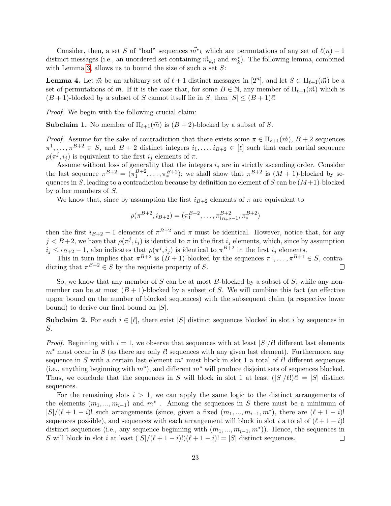Consider, then, a set S of "bad" sequences  $\vec{m}^*$ <sub>k</sub> which are permutations of any set of  $\ell(n) + 1$ distinct messages (i.e., an unordered set containing  $\vec{m}_{k,i}$  and  $m_k^*$ ). The following lemma, combined with Lemma [3,](#page-22-0) allows us to bound the size of such a set  $S$ :

<span id="page-23-0"></span>**Lemma 4.** Let  $\vec{m}$  be an arbitrary set of  $\ell + 1$  distinct messages in  $[2^n]$ , and let  $S \subset \Pi_{\ell+1}(\vec{m})$  be a set of permutations of  $\vec{m}$ . If it is the case that, for some  $B \in \mathbb{N}$ , any member of  $\Pi_{\ell+1}(\vec{m})$  which is  $(B + 1)$ -blocked by a subset of S cannot itself lie in S, then  $|S| \leq (B + 1)\ell!$ 

Proof. We begin with the following crucial claim:

**Subclaim 1.** No member of  $\Pi_{\ell+1}(\vec{m})$  is  $(B + 2)$ -blocked by a subset of S.

*Proof.* Assume for the sake of contradiction that there exists some  $\pi \in \Pi_{\ell+1}(\vec{m}), B + 2$  sequences  $\pi^1, \ldots, \pi^{B+2} \in S$ , and  $B+2$  distinct integers  $i_1, \ldots, i_{B+2} \in [\ell]$  such that each partial sequence  $\rho(\pi^j, i_j)$  is equivalent to the first  $i_j$  elements of  $\pi$ .

Assume without loss of generality that the integers  $i_j$  are in strictly ascending order. Consider the last sequence  $\pi^{B+2} = (\pi_1^{B+2}, \ldots, \pi_*^{B+2})$ ; we shall show that  $\pi^{B+2}$  is  $(M+1)$ -blocked by sequences in S, leading to a contradiction because by definition no element of S can be  $(M+1)$ -blocked by other members of S.

We know that, since by assumption the first  $i_{B+2}$  elements of  $\pi$  are equivalent to

$$
\rho(\pi^{B+2}, i_{B+2}) = (\pi_1^{B+2}, \dots, \pi_{i_{B+2}-1}^{B+2}, \pi_*^{B+2})
$$

then the first  $i_{B+2} - 1$  elements of  $\pi^{B+2}$  and  $\pi$  must be identical. However, notice that, for any  $j < B+2$ , we have that  $\rho(\pi^j, i_j)$  is identical to  $\pi$  in the first  $i_j$  elements, which, since by assumption  $i_j \leq i_{B+2} - 1$ , also indicates that  $\rho(\pi^j, i_j)$  is identical to  $\pi^{B+2}$  in the first  $i_j$  elements.

This in turn implies that  $\pi^{B+2}$  is  $(B+1)$ -blocked by the sequences  $\pi^1, \ldots, \pi^{B+1} \in S$ , contradicting that  $\pi^{B+2} \in S$  by the requisite property of S.  $\Box$ 

So, we know that any member of S can be at most B-blocked by a subset of S, while any nonmember can be at most  $(B + 1)$ -blocked by a subset of S. We will combine this fact (an effective upper bound on the number of blocked sequences) with the subsequent claim (a respective lower bound) to derive our final bound on  $|S|$ .

**Subclaim 2.** For each  $i \in [\ell]$ , there exist  $|S|$  distinct sequences blocked in slot i by sequences in S.

*Proof.* Beginning with  $i = 1$ , we observe that sequences with at least  $|S|/\ell$ ! different last elements  $m^*$  must occur in S (as there are only  $\ell$ ! sequences with any given last element). Furthermore, any sequence in S with a certain last element  $m^*$  must block in slot 1 a total of  $\ell$ ! different sequences (i.e., anything beginning with  $m^*$ ), and different  $m^*$  will produce disjoint sets of sequences blocked. Thus, we conclude that the sequences in S will block in slot 1 at least  $(|S|/\ell!)\ell! = |S|$  distinct sequences.

For the remaining slots  $i > 1$ , we can apply the same logic to the distinct arrangements of the elements  $(m_1, ..., m_{i-1})$  and  $m^*$ . Among the sequences in S there must be a minimum of  $|S|/(\ell + 1 - i)!$  such arrangements (since, given a fixed  $(m_1, ..., m_{i-1}, m^*)$ , there are  $(\ell + 1 - i)!$ sequences possible), and sequences with each arrangement will block in slot i a total of  $(\ell + 1 - i)!$ distinct sequences (i.e., any sequence beginning with  $(m_1, ..., m_{i-1}, m^*)$ ). Hence, the sequences in S will block in slot i at least  $(|S|/(\ell + 1 - i)!) (\ell + 1 - i)! = |S|$  distinct sequences.  $\Box$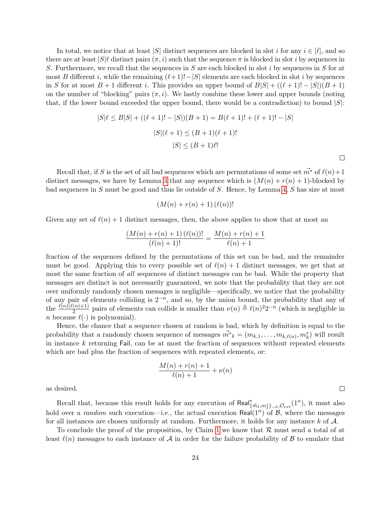In total, we notice that at least  $|S|$  distinct sequences are blocked in slot i for any  $i \in [\ell]$ , and so there are at least  $|S|\ell$  distinct pairs  $(\pi, i)$  such that the sequence  $\pi$  is blocked in slot i by sequences in S. Furthermore, we recall that the sequences in S are each blocked in slot i by sequences in S for at most B different i, while the remaining  $(\ell+1)!-|S|$  elements are each blocked in slot i by sequences in S for at most  $B + 1$  different i. This provides an upper bound of  $B|S| + ((\ell + 1)! - |S|)(B + 1)$ on the number of "blocking" pairs  $(\pi, i)$ . We lastly combine these lower and upper bounds (noting that, if the lower bound exceeded the upper bound, there would be a contradiction) to bound  $|S|$ :

$$
|S|\ell \leq B|S| + ((\ell + 1)! - |S|)(B + 1) = B(\ell + 1)! + (\ell + 1)! - |S|
$$
  

$$
|S|(\ell + 1) \leq (B + 1)(\ell + 1)!
$$
  

$$
|S| \leq (B + 1)\ell!
$$

Recall that, if S is the set of all bad sequences which are permutations of some set  $\vec{m}^*$  of  $\ell(n)+1$ distinct messages, we have by Lemma [3](#page-22-0) that any sequence which is  $(M(n) + r(n) + 1)$ -blocked by bad sequences in S must be good and thus lie outside of S. Hence, by Lemma [4,](#page-23-0) S has size at most

$$
(M(n) + r(n) + 1) (\ell(n))!
$$

Given any set of  $\ell(n) + 1$  distinct messages, then, the above applies to show that at most an

$$
\frac{(M(n) + r(n) + 1) (\ell(n))!}{(\ell(n) + 1)!} = \frac{M(n) + r(n) + 1}{\ell(n) + 1}
$$

fraction of the sequences defined by the permutations of this set can be bad, and the remainder must be good. Applying this to every possible set of  $\ell(n) + 1$  distinct messages, we get that at most the same fraction of all sequences of distinct messages can be bad. While the property that messages are distinct is not necessarily guaranteed, we note that the probability that they are not over uniformly randomly chosen messages is negligible—specifically, we notice that the probability of any pair of elements colliding is  $2^{-n}$ , and so, by the union bound, the probability that any of the  $\frac{\ell(n)(\ell(n)+1)}{2}$  pairs of elements can collide is smaller than  $\nu(n) \triangleq \ell(n)^{2} 2^{-n}$  (which is negligible in *n* because  $\ell(\cdot)$  is polynomial).

Hence, the chance that a sequence chosen at random is bad, which by definition is equal to the probability that a randomly chosen sequence of messages  $\vec{m^*}_k = (m_{k,1}, \ldots, m_{k,\ell(n)}, m^*_{k})$  will result in instance  $k$  returning Fail, can be at most the fraction of sequences without repeated elements which are bad plus the fraction of sequences with repeated elements, or:

$$
\frac{M(n) + r(n) + 1}{\ell(n) + 1} + \nu(n)
$$

as desired.

Recall that, because this result holds for any execution of  $\text{Real}^*_{\{\vec{m}_I, m^*_I\}_{-k}, \mathcal{O}_{ext}}(1^n)$ , it must also hold over a *random* such execution—i.e., the actual execution Real( $1^n$ ) of B, where the messages for all instances are chosen uniformly at random. Furthermore, it holds for any instance  $k$  of  $A$ .

To conclude the proof of the proposition, by Claim [1](#page-15-1) we know that  $\mathcal R$  must send a total of at least  $\ell(n)$  messages to each instance of A in order for the failure probability of B to emulate that

 $\Box$ 

 $\Box$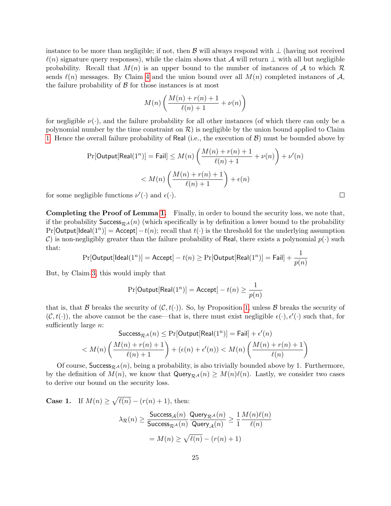instance to be more than negligible; if not, then B will always respond with  $\perp$  (having not received  $\ell(n)$  signature query responses), while the claim shows that A will return  $\perp$  with all but negligible probability. Recall that  $M(n)$  is an upper bound to the number of instances of A to which R sends  $\ell(n)$  messages. By Claim [4](#page-21-0) and the union bound over all  $M(n)$  completed instances of A, the failure probability of  $\beta$  for those instances is at most

$$
M(n)\left(\frac{M(n)+r(n)+1}{\ell(n)+1}+\nu(n)\right)
$$

for negligible  $\nu(\cdot)$ , and the failure probability for all other instances (of which there can only be a polynomial number by the time constraint on  $\mathcal{R}$ ) is negligible by the union bound applied to Claim [1.](#page-15-1) Hence the overall failure probability of Real (i.e., the execution of  $\mathcal{B}$ ) must be bounded above by

$$
\Pr[\text{Output}[\text{Real}(1^n)] = \text{Tail}] \le M(n) \left( \frac{M(n) + r(n) + 1}{\ell(n) + 1} + \nu(n) \right) + \nu'(n)
$$

$$
< M(n) \left( \frac{M(n) + r(n) + 1}{\ell(n) + 1} \right) + \epsilon(n)
$$

for some negligible functions  $\nu'(\cdot)$  and  $\epsilon(\cdot)$ .

Completing the Proof of Lemma [1.](#page-12-0) Finally, in order to bound the security loss, we note that, if the probability  $\text{Success}_{\mathcal{PA}}(n)$  (which specifically is by definition a lower bound to the probability  $Pr[Output | \text{Ideal}(1^n)] = Accept] - t(n);$  recall that  $t(\cdot)$  is the threshold for the underlying assumption C) is non-negligibly greater than the failure probability of Real, there exists a polynomial  $p(\cdot)$  such that:

$$
\Pr[\mathsf{Output}[\mathsf{Ideal}(1^n)] = \mathsf{Accept}] - t(n) \geq \Pr[\mathsf{Output}[\mathsf{Real}(1^n)] = \mathsf{fail}] + \frac{1}{p(n)}
$$

But, by Claim [3,](#page-20-1) this would imply that

$$
\Pr[\mathsf{Output}[\mathsf{Real}(1^n)] = \mathsf{Accept}] - t(n) \geq \frac{1}{p(n)}
$$

that is, that B breaks the security of  $(C, t(\cdot))$ . So, by Proposition [1,](#page-21-1) unless B breaks the security of  $(C, t(\cdot))$ , the above cannot be the case—that is, there must exist negligible  $\epsilon(\cdot), \epsilon'(\cdot)$  such that, for sufficiently large *n*:

$$
\begin{aligned} &\text{Success}_{\mathcal{R}^{\mathcal{A}}}(n) \leq \Pr[\text{Output}[\text{Real}(1^n)] = \text{fail}] + \epsilon'(n) \\ < M(n)\left(\frac{M(n) + r(n) + 1}{\ell(n) + 1}\right) + (\epsilon(n) + \epsilon'(n)) < M(n)\left(\frac{M(n) + r(n) + 1}{\ell(n)}\right) \end{aligned}
$$

Of course, Success<sub>RA</sub> $(n)$ , being a probability, is also trivially bounded above by 1. Furthermore, by the definition of  $M(n)$ , we know that  $\mathsf{Query}_{\mathcal{R}^{\mathcal{A}}}(n) \geq M(n)\ell(n)$ . Lastly, we consider two cases to derive our bound on the security loss.

**Case 1.** If  $M(n) \ge \sqrt{\ell(n)} - (r(n) + 1)$ , then:

$$
\lambda_{\mathcal{R}}(n) \ge \frac{\text{Success}_{\mathcal{A}}(n)}{\text{Success}_{\mathcal{R}^{\mathcal{A}}}(n)} \frac{\text{Query}_{\mathcal{R}^{\mathcal{A}}}(n)}{\text{Query}_{\mathcal{A}}(n)} \ge \frac{1}{1} \frac{M(n)\ell(n)}{\ell(n)}
$$

$$
= M(n) \ge \sqrt{\ell(n)} - (r(n) + 1)
$$

 $\Box$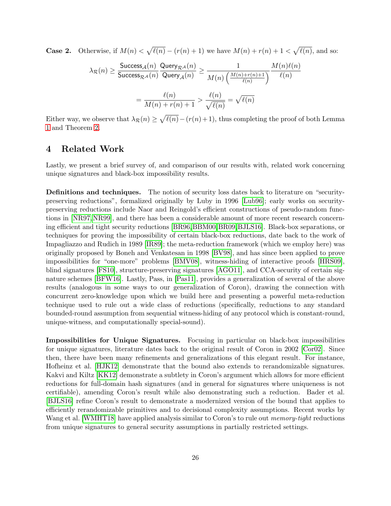**Case 2.** Otherwise, if  $M(n) < \sqrt{\ell(n)} - (r(n) + 1)$  we have  $M(n) + r(n) + 1 < \sqrt{\ell(n)}$ , and so:

$$
\begin{aligned} \lambda_{\mathcal{R}}(n) & \geq \frac{\mathsf{Success}_{\mathcal{A}}(n)}{\mathsf{Success}_{\mathcal{R}^{\mathcal{A}}}(n)} \frac{\mathsf{Query}_{\mathcal{R}^{\mathcal{A}}}(n)}{\mathsf{Query}_{\mathcal{A}}(n)} \geq \frac{1}{M(n)\left(\frac{M(n)+r(n)+1}{\ell(n)}\right)} \frac{M(n)\ell(n)}{\ell(n)} \\ & = \frac{\ell(n)}{M(n)+r(n)+1} > \frac{\ell(n)}{\sqrt{\ell(n)}} = \sqrt{\ell(n)} \end{aligned}
$$

Either way, we observe that  $\lambda_{\mathcal{R}}(n) \geq \sqrt{\ell(n)} - (r(n) + 1)$ , thus completing the proof of both Lemma [1](#page-12-0) and Theorem [2.](#page-11-1)

## <span id="page-26-0"></span>4 Related Work

Lastly, we present a brief survey of, and comparison of our results with, related work concerning unique signatures and black-box impossibility results.

Definitions and techniques. The notion of security loss dates back to literature on "securitypreserving reductions", formalized originally by Luby in 1996 [\[Lub96\]](#page-31-1); early works on securitypreserving reductions include Naor and Reingold's efficient constructions of pseudo-random functions in [\[NR97,](#page-31-11)[NR99\]](#page-31-12), and there has been a considerable amount of more recent research concerning efficient and tight security reductions [\[BR96,](#page-28-0)[BBM00,](#page-28-6)[BR09,](#page-28-7)[BJLS16\]](#page-28-2). Black-box separations, or techniques for proving the impossibility of certain black-box reductions, date back to the work of Impagliazzo and Rudich in 1989 [\[IR89\]](#page-30-7); the meta-reduction framework (which we employ here) was originally proposed by Boneh and Venkatesan in 1998 [\[BV98\]](#page-28-3), and has since been applied to prove impossibilities for "one-more" problems [\[BMV08\]](#page-29-5), witness-hiding of interactive proofs [\[HRS09\]](#page-30-6), blind signatures [\[FS10\]](#page-29-6), structure-preserving signatures [\[AGO11\]](#page-27-1), and CCA-security of certain signature schemes [\[BFW16\]](#page-28-5). Lastly, Pass, in [\[Pas11\]](#page-31-5), provides a generalization of several of the above results (analogous in some ways to our generalization of Coron), drawing the connection with concurrent zero-knowledge upon which we build here and presenting a powerful meta-reduction technique used to rule out a wide class of reductions (specifically, reductions to any standard bounded-round assumption from sequential witness-hiding of any protocol which is constant-round, unique-witness, and computationally special-sound).

Impossibilities for Unique Signatures. Focusing in particular on black-box impossibilities for unique signatures, literature dates back to the original result of Coron in 2002 [\[Cor02\]](#page-29-4). Since then, there have been many refinements and generalizations of this elegant result. For instance, Hofheinz et al. [\[HJK12\]](#page-30-4) demonstrate that the bound also extends to rerandomizable signatures. Kakvi and Kiltz [\[KK12\]](#page-30-5) demonstrate a subtlety in Coron's argument which allows for more efficient reductions for full-domain hash signatures (and in general for signatures where uniqueness is not certifiable), amending Coron's result while also demonstrating such a reduction. Bader et al. [\[BJLS16\]](#page-28-2) refine Coron's result to demonstrate a modernized version of the bound that applies to efficiently rerandomizable primitives and to decisional complexity assumptions. Recent works by Wang et al. [\[WMHT18\]](#page-32-2) have applied analysis similar to Coron's to rule out *memory-tight* reductions from unique signatures to general security assumptions in partially restricted settings.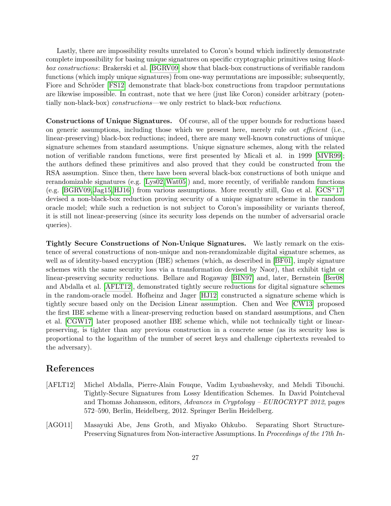Lastly, there are impossibility results unrelated to Coron's bound which indirectly demonstrate complete impossibility for basing unique signatures on specific cryptographic primitives using blackbox constructions: Brakerski et al. [\[BGRV09\]](#page-29-3) show that black-box constructions of verifiable random functions (which imply unique signatures) from one-way permutations are impossible; subsequently, Fiore and Schröder [\[FS12\]](#page-29-10) demonstrate that black-box constructions from trapdoor permutations are likewise impossible. In contrast, note that we here (just like Coron) consider arbitrary (potentially non-black-box) constructions—we only restrict to black-box reductions.

Constructions of Unique Signatures. Of course, all of the upper bounds for reductions based on generic assumptions, including those which we present here, merely rule out efficient (i.e., linear-preserving) black-box reductions; indeed, there are many well-known constructions of unique signature schemes from standard assumptions. Unique signature schemes, along with the related notion of verifiable random functions, were first presented by Micali et al. in 1999 [\[MVR99\]](#page-31-2); the authors defined these primitives and also proved that they could be constructed from the RSA assumption. Since then, there have been several black-box constructions of both unique and rerandomizable signatures (e.g. [\[Lys02,](#page-31-3)[Wat05\]](#page-32-4)) and, more recently, of verifiable random functions (e.g. [\[BGRV09,](#page-29-3) [Jag15,](#page-30-2) [HJ16\]](#page-30-9)) from various assumptions. More recently still, Guo et al.  $(GCS<sup>+</sup>17)$ devised a non-black-box reduction proving security of a unique signature scheme in the random oracle model; while such a reduction is not subject to Coron's impossibility or variants thereof, it is still not linear-preserving (since its security loss depends on the number of adversarial oracle queries).

Tightly Secure Constructions of Non-Unique Signatures. We lastly remark on the existence of several constructions of non-unique and non-rerandomizable digital signature schemes, as well as of identity-based encryption (IBE) schemes (which, as described in [\[BF01\]](#page-28-8), imply signature schemes with the same security loss via a transformation devised by Naor), that exhibit tight or linear-preserving security reductions. Bellare and Rogaway [\[BIN97\]](#page-28-9) and, later, Bernstein [\[Ber08\]](#page-28-1) and Abdalla et al. [\[AFLT12\]](#page-27-0), demonstrated tightly secure reductions for digital signature schemes in the random-oracle model. Hofheinz and Jager [\[HJ12\]](#page-30-1) constructed a signature scheme which is tightly secure based only on the Decision Linear assumption. Chen and Wee [\[CW13\]](#page-29-1) proposed the first IBE scheme with a linear-preserving reduction based on standard assumptions, and Chen et al. [\[CGW17\]](#page-29-2) later proposed another IBE scheme which, while not technically tight or linearpreserving, is tighter than any previous construction in a concrete sense (as its security loss is proportional to the logarithm of the number of secret keys and challenge ciphertexts revealed to the adversary).

## References

- <span id="page-27-0"></span>[AFLT12] Michel Abdalla, Pierre-Alain Fouque, Vadim Lyubashevsky, and Mehdi Tibouchi. Tightly-Secure Signatures from Lossy Identification Schemes. In David Pointcheval and Thomas Johansson, editors, Advances in Cryptology – EUROCRYPT 2012, pages 572–590, Berlin, Heidelberg, 2012. Springer Berlin Heidelberg.
- <span id="page-27-1"></span>[AGO11] Masayuki Abe, Jens Groth, and Miyako Ohkubo. Separating Short Structure-Preserving Signatures from Non-interactive Assumptions. In Proceedings of the 17th In-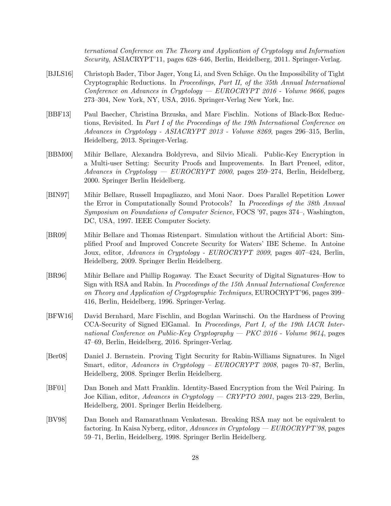ternational Conference on The Theory and Application of Cryptology and Information Security, ASIACRYPT'11, pages 628–646, Berlin, Heidelberg, 2011. Springer-Verlag.

- <span id="page-28-2"></span>[BJLS16] Christoph Bader, Tibor Jager, Yong Li, and Sven Schäge. On the Impossibility of Tight Cryptographic Reductions. In Proceedings, Part II, of the 35th Annual International Conference on Advances in Cryptology — EUROCRYPT 2016 - Volume 9666, pages 273–304, New York, NY, USA, 2016. Springer-Verlag New York, Inc.
- <span id="page-28-4"></span>[BBF13] Paul Baecher, Christina Brzuska, and Marc Fischlin. Notions of Black-Box Reductions, Revisited. In Part I of the Proceedings of the 19th International Conference on Advances in Cryptology - ASIACRYPT 2013 - Volume 8269, pages 296–315, Berlin, Heidelberg, 2013. Springer-Verlag.
- <span id="page-28-6"></span>[BBM00] Mihir Bellare, Alexandra Boldyreva, and Silvio Micali. Public-Key Encryption in a Multi-user Setting: Security Proofs and Improvements. In Bart Preneel, editor, Advances in Cryptology — EUROCRYPT 2000, pages 259–274, Berlin, Heidelberg, 2000. Springer Berlin Heidelberg.
- <span id="page-28-9"></span>[BIN97] Mihir Bellare, Russell Impagliazzo, and Moni Naor. Does Parallel Repetition Lower the Error in Computationally Sound Protocols? In Proceedings of the 38th Annual Symposium on Foundations of Computer Science, FOCS '97, pages 374–, Washington, DC, USA, 1997. IEEE Computer Society.
- <span id="page-28-7"></span>[BR09] Mihir Bellare and Thomas Ristenpart. Simulation without the Artificial Abort: Simplified Proof and Improved Concrete Security for Waters' IBE Scheme. In Antoine Joux, editor, Advances in Cryptology - EUROCRYPT 2009, pages 407–424, Berlin, Heidelberg, 2009. Springer Berlin Heidelberg.
- <span id="page-28-0"></span>[BR96] Mihir Bellare and Phillip Rogaway. The Exact Security of Digital Signatures–How to Sign with RSA and Rabin. In Proceedings of the 15th Annual International Conference on Theory and Application of Cryptographic Techniques, EUROCRYPT'96, pages 399– 416, Berlin, Heidelberg, 1996. Springer-Verlag.
- <span id="page-28-5"></span>[BFW16] David Bernhard, Marc Fischlin, and Bogdan Warinschi. On the Hardness of Proving CCA-Security of Signed ElGamal. In Proceedings, Part I, of the 19th IACR International Conference on Public-Key Cryptography  $-$  PKC 2016 - Volume 9614, pages 47–69, Berlin, Heidelberg, 2016. Springer-Verlag.
- <span id="page-28-1"></span>[Ber08] Daniel J. Bernstein. Proving Tight Security for Rabin-Williams Signatures. In Nigel Smart, editor, Advances in Cryptology – EUROCRYPT 2008, pages 70–87, Berlin, Heidelberg, 2008. Springer Berlin Heidelberg.
- <span id="page-28-8"></span>[BF01] Dan Boneh and Matt Franklin. Identity-Based Encryption from the Weil Pairing. In Joe Kilian, editor, Advances in Cryptology — CRYPTO 2001, pages 213–229, Berlin, Heidelberg, 2001. Springer Berlin Heidelberg.
- <span id="page-28-3"></span>[BV98] Dan Boneh and Ramarathnam Venkatesan. Breaking RSA may not be equivalent to factoring. In Kaisa Nyberg, editor, Advances in Cryptology — EUROCRYPT'98, pages 59–71, Berlin, Heidelberg, 1998. Springer Berlin Heidelberg.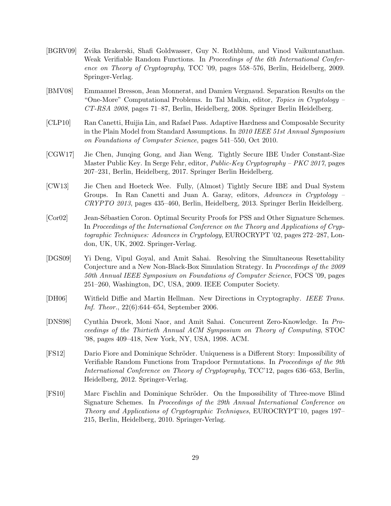- <span id="page-29-3"></span>[BGRV09] Zvika Brakerski, Shafi Goldwasser, Guy N. Rothblum, and Vinod Vaikuntanathan. Weak Verifiable Random Functions. In *Proceedings of the 6th International Confer*ence on Theory of Cryptography, TCC '09, pages 558–576, Berlin, Heidelberg, 2009. Springer-Verlag.
- <span id="page-29-5"></span>[BMV08] Emmanuel Bresson, Jean Monnerat, and Damien Vergnaud. Separation Results on the "One-More" Computational Problems. In Tal Malkin, editor, Topics in Cryptology – CT-RSA 2008, pages 71–87, Berlin, Heidelberg, 2008. Springer Berlin Heidelberg.
- <span id="page-29-8"></span>[CLP10] Ran Canetti, Huijia Lin, and Rafael Pass. Adaptive Hardness and Composable Security in the Plain Model from Standard Assumptions. In 2010 IEEE 51st Annual Symposium on Foundations of Computer Science, pages 541–550, Oct 2010.
- <span id="page-29-2"></span>[CGW17] Jie Chen, Junqing Gong, and Jian Weng. Tightly Secure IBE Under Constant-Size Master Public Key. In Serge Fehr, editor, *Public-Key Cryptography – PKC 2017*, pages 207–231, Berlin, Heidelberg, 2017. Springer Berlin Heidelberg.
- <span id="page-29-1"></span>[CW13] Jie Chen and Hoeteck Wee. Fully, (Almost) Tightly Secure IBE and Dual System Groups. In Ran Canetti and Juan A. Garay, editors, Advances in Cryptology – CRYPTO 2013, pages 435–460, Berlin, Heidelberg, 2013. Springer Berlin Heidelberg.
- <span id="page-29-4"></span>[Cor02] Jean-Sébastien Coron. Optimal Security Proofs for PSS and Other Signature Schemes. In Proceedings of the International Conference on the Theory and Applications of Cryptographic Techniques: Advances in Cryptology, EUROCRYPT '02, pages 272–287, London, UK, UK, 2002. Springer-Verlag.
- <span id="page-29-9"></span>[DGS09] Yi Deng, Vipul Goyal, and Amit Sahai. Resolving the Simultaneous Resettability Conjecture and a New Non-Black-Box Simulation Strategy. In Proceedings of the 2009 50th Annual IEEE Symposium on Foundations of Computer Science, FOCS '09, pages 251–260, Washington, DC, USA, 2009. IEEE Computer Society.
- <span id="page-29-0"></span>[DH06] Witfield Diffie and Martin Hellman. New Directions in Cryptography. IEEE Trans. Inf. Theor., 22(6):644–654, September 2006.
- <span id="page-29-7"></span>[DNS98] Cynthia Dwork, Moni Naor, and Amit Sahai. Concurrent Zero-Knowledge. In Proceedings of the Thirtieth Annual ACM Symposium on Theory of Computing, STOC '98, pages 409–418, New York, NY, USA, 1998. ACM.
- <span id="page-29-10"></span>[FS12] Dario Fiore and Dominique Schröder. Uniqueness is a Different Story: Impossibility of Verifiable Random Functions from Trapdoor Permutations. In Proceedings of the 9th International Conference on Theory of Cryptography, TCC'12, pages 636–653, Berlin, Heidelberg, 2012. Springer-Verlag.
- <span id="page-29-6"></span>[FS10] Marc Fischlin and Dominique Schröder. On the Impossibility of Three-move Blind Signature Schemes. In Proceedings of the 29th Annual International Conference on Theory and Applications of Cryptographic Techniques, EUROCRYPT'10, pages 197– 215, Berlin, Heidelberg, 2010. Springer-Verlag.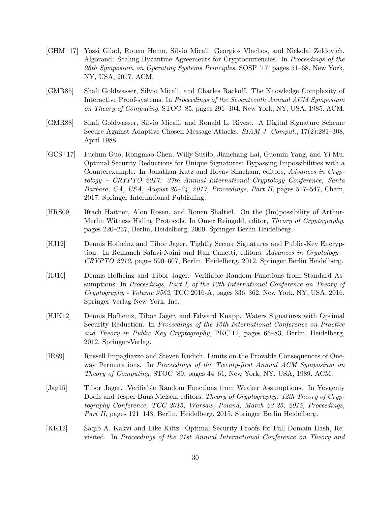- <span id="page-30-3"></span>[GHM+17] Yossi Gilad, Rotem Hemo, Silvio Micali, Georgios Vlachos, and Nickolai Zeldovich. Algorand: Scaling Byzantine Agreements for Cryptocurrencies. In Proceedings of the 26th Symposium on Operating Systems Principles, SOSP '17, pages 51–68, New York, NY, USA, 2017. ACM.
- <span id="page-30-8"></span>[GMR85] Shafi Goldwasser, Silvio Micali, and Charles Rackoff. The Knowledge Complexity of Interactive Proof-systems. In Proceedings of the Seventeenth Annual ACM Symposium on Theory of Computing, STOC '85, pages 291–304, New York, NY, USA, 1985. ACM.
- <span id="page-30-0"></span>[GMR88] Shafi Goldwasser, Silvio Micali, and Ronald L. Rivest. A Digital Signature Scheme Secure Against Adaptive Chosen-Message Attacks. SIAM J. Comput., 17(2):281–308, April 1988.
- <span id="page-30-10"></span>[GCS+17] Fuchun Guo, Rongmao Chen, Willy Susilo, Jianchang Lai, Guomin Yang, and Yi Mu. Optimal Security Reductions for Unique Signatures: Bypassing Impossibilities with a Counterexample. In Jonathan Katz and Hovav Shacham, editors, Advances in Cryptology – CRYPTO 2017: 37th Annual International Cryptology Conference, Santa Barbara, CA, USA, August 20–24, 2017, Proceedings, Part II, pages 517–547, Cham, 2017. Springer International Publishing.
- <span id="page-30-6"></span>[HRS09] Iftach Haitner, Alon Rosen, and Ronen Shaltiel. On the (Im)possibility of Arthur-Merlin Witness Hiding Protocols. In Omer Reingold, editor, Theory of Cryptography, pages 220–237, Berlin, Heidelberg, 2009. Springer Berlin Heidelberg.
- <span id="page-30-1"></span>[HJ12] Dennis Hofheinz and Tibor Jager. Tightly Secure Signatures and Public-Key Encryption. In Reihaneh Safavi-Naini and Ran Canetti, editors, Advances in Cryptology – CRYPTO 2012, pages 590–607, Berlin, Heidelberg, 2012. Springer Berlin Heidelberg.
- <span id="page-30-9"></span>[HJ16] Dennis Hofheinz and Tibor Jager. Verifiable Random Functions from Standard Assumptions. In Proceedings, Part I, of the 13th International Conference on Theory of Cryptography - Volume 9562, TCC 2016-A, pages 336–362, New York, NY, USA, 2016. Springer-Verlag New York, Inc.
- <span id="page-30-4"></span>[HJK12] Dennis Hofheinz, Tibor Jager, and Edward Knapp. Waters Signatures with Optimal Security Reduction. In Proceedings of the 15th International Conference on Practice and Theory in Public Key Cryptography, PKC'12, pages 66–83, Berlin, Heidelberg, 2012. Springer-Verlag.
- <span id="page-30-7"></span>[IR89] Russell Impagliazzo and Steven Rudich. Limits on the Provable Consequences of Oneway Permutations. In Proceedings of the Twenty-first Annual ACM Symposium on Theory of Computing, STOC '89, pages 44–61, New York, NY, USA, 1989. ACM.
- <span id="page-30-2"></span>[Jag15] Tibor Jager. Verifiable Random Functions from Weaker Assumptions. In Yevgeniy Dodis and Jesper Buus Nielsen, editors, Theory of Cryptography: 12th Theory of Cryptography Conference, TCC 2015, Warsaw, Poland, March 23-25, 2015, Proceedings, Part II, pages 121–143, Berlin, Heidelberg, 2015. Springer Berlin Heidelberg.
- <span id="page-30-5"></span>[KK12] Saqib A. Kakvi and Eike Kiltz. Optimal Security Proofs for Full Domain Hash, Revisited. In Proceedings of the 31st Annual International Conference on Theory and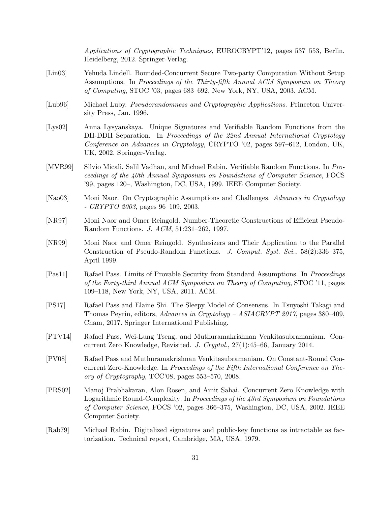Applications of Cryptographic Techniques, EUROCRYPT'12, pages 537–553, Berlin, Heidelberg, 2012. Springer-Verlag.

- <span id="page-31-7"></span>[Lin03] Yehuda Lindell. Bounded-Concurrent Secure Two-party Computation Without Setup Assumptions. In Proceedings of the Thirty-fifth Annual ACM Symposium on Theory of Computing, STOC '03, pages 683–692, New York, NY, USA, 2003. ACM.
- <span id="page-31-1"></span>[Lub96] Michael Luby. Pseudorandomness and Cryptographic Applications. Princeton University Press, Jan. 1996.
- <span id="page-31-3"></span>[Lys02] Anna Lysyanskaya. Unique Signatures and Verifiable Random Functions from the DH-DDH Separation. In Proceedings of the 22nd Annual International Cryptology Conference on Advances in Cryptology, CRYPTO '02, pages 597–612, London, UK, UK, 2002. Springer-Verlag.
- <span id="page-31-2"></span>[MVR99] Silvio Micali, Salil Vadhan, and Michael Rabin. Verifiable Random Functions. In Proceedings of the 40th Annual Symposium on Foundations of Computer Science, FOCS '99, pages 120–, Washington, DC, USA, 1999. IEEE Computer Society.
- <span id="page-31-10"></span>[Nao03] Moni Naor. On Cryptographic Assumptions and Challenges. Advances in Cryptology - CRYPTO 2003, pages 96–109, 2003.
- <span id="page-31-11"></span>[NR97] Moni Naor and Omer Reingold. Number-Theoretic Constructions of Efficient Pseudo-Random Functions. J. ACM, 51:231–262, 1997.
- <span id="page-31-12"></span>[NR99] Moni Naor and Omer Reingold. Synthesizers and Their Application to the Parallel Construction of Pseudo-Random Functions. J. Comput. Syst. Sci., 58(2):336–375, April 1999.
- <span id="page-31-5"></span>[Pas11] Rafael Pass. Limits of Provable Security from Standard Assumptions. In Proceedings of the Forty-third Annual ACM Symposium on Theory of Computing, STOC '11, pages 109–118, New York, NY, USA, 2011. ACM.
- <span id="page-31-4"></span>[PS17] Rafael Pass and Elaine Shi. The Sleepy Model of Consensus. In Tsuyoshi Takagi and Thomas Peyrin, editors, Advances in Cryptology – ASIACRYPT 2017, pages 380–409, Cham, 2017. Springer International Publishing.
- <span id="page-31-9"></span>[PTV14] Rafael Pass, Wei-Lung Tseng, and Muthuramakrishnan Venkitasubramaniam. Concurrent Zero Knowledge, Revisited. J. Cryptol., 27(1):45–66, January 2014.
- <span id="page-31-6"></span>[PV08] Rafael Pass and Muthuramakrishnan Venkitasubramaniam. On Constant-Round Concurrent Zero-Knowledge. In Proceedings of the Fifth International Conference on Theory of Cryptography, TCC'08, pages 553–570, 2008.
- <span id="page-31-8"></span>[PRS02] Manoj Prabhakaran, Alon Rosen, and Amit Sahai. Concurrent Zero Knowledge with Logarithmic Round-Complexity. In Proceedings of the 43rd Symposium on Foundations of Computer Science, FOCS '02, pages 366–375, Washington, DC, USA, 2002. IEEE Computer Society.
- <span id="page-31-0"></span>[Rab79] Michael Rabin. Digitalized signatures and public-key functions as intractable as factorization. Technical report, Cambridge, MA, USA, 1979.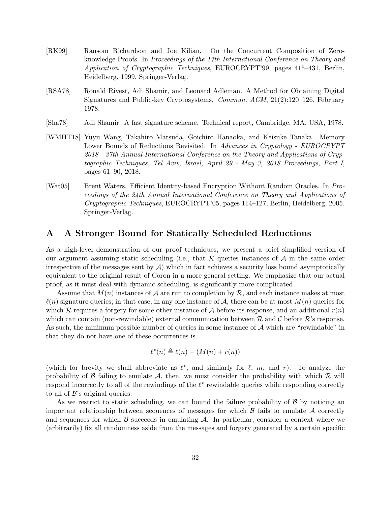- <span id="page-32-3"></span>[RK99] Ransom Richardson and Joe Kilian. On the Concurrent Composition of Zeroknowledge Proofs. In Proceedings of the 17th International Conference on Theory and Application of Cryptographic Techniques, EUROCRYPT'99, pages 415–431, Berlin, Heidelberg, 1999. Springer-Verlag.
- <span id="page-32-0"></span>[RSA78] Ronald Rivest, Adi Shamir, and Leonard Adleman. A Method for Obtaining Digital Signatures and Public-key Cryptosystems. Commun. ACM, 21(2):120–126, February 1978.
- <span id="page-32-1"></span>[Sha78] Adi Shamir. A fast signature scheme. Technical report, Cambridge, MA, USA, 1978.
- <span id="page-32-2"></span>[WMHT18] Yuyu Wang, Takahiro Matsuda, Goichiro Hanaoka, and Keisuke Tanaka. Memory Lower Bounds of Reductions Revisited. In Advances in Cryptology - EUROCRYPT 2018 - 37th Annual International Conference on the Theory and Applications of Cryptographic Techniques, Tel Aviv, Israel, April 29 - May 3, 2018 Proceedings, Part I, pages 61–90, 2018.
- <span id="page-32-4"></span>[Wat05] Brent Waters. Efficient Identity-based Encryption Without Random Oracles. In Proceedings of the 24th Annual International Conference on Theory and Applications of Cryptographic Techniques, EUROCRYPT'05, pages 114–127, Berlin, Heidelberg, 2005. Springer-Verlag.

### A A Stronger Bound for Statically Scheduled Reductions

As a high-level demonstration of our proof techniques, we present a brief simplified version of our argument assuming static scheduling (i.e., that  $\mathcal R$  queries instances of  $\mathcal A$  in the same order irrespective of the messages sent by  $A$ ) which in fact achieves a security loss bound asymptotically equivalent to the original result of Coron in a more general setting. We emphasize that our actual proof, as it must deal with dynamic scheduling, is significantly more complicated.

Assume that  $M(n)$  instances of A are run to completion by R, and each instance makes at most  $\ell(n)$  signature queries; in that case, in any one instance of A, there can be at most  $M(n)$  queries for which R requires a forgery for some other instance of A before its response, and an additional  $r(n)$ which can contain (non-rewindable) external communication between  $R$  and  $C$  before  $R$ 's response. As such, the minimum possible number of queries in some instance of  $A$  which are "rewindable" in that they do not have one of these occurrences is

$$
\ell^*(n) \triangleq \ell(n) - (M(n) + r(n))
$$

(which for brevity we shall abbreviate as  $\ell^*$ , and similarly for  $\ell$ , m, and r). To analyze the probability of  $\beta$  failing to emulate  $\mathcal{A}$ , then, we must consider the probability with which  $\mathcal{R}$  will respond incorrectly to all of the rewindings of the  $\ell^*$  rewindable queries while responding correctly to all of  $\mathcal{B}$ 's original queries.

As we restrict to static scheduling, we can bound the failure probability of  $\beta$  by noticing an important relationship between sequences of messages for which  $\beta$  fails to emulate  $\mathcal A$  correctly and sequences for which  $\beta$  succeeds in emulating  $\mathcal{A}$ . In particular, consider a context where we (arbitrarily) fix all randomness aside from the messages and forgery generated by a certain specific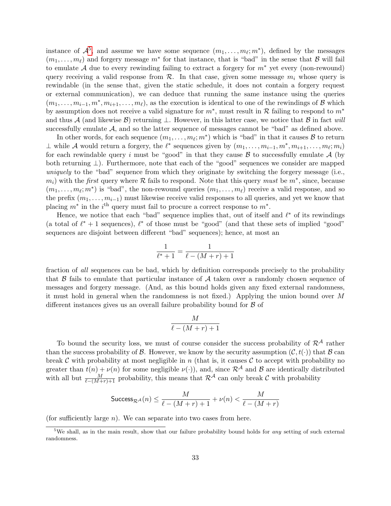instance of  $\mathcal{A}^5$  $\mathcal{A}^5$ , and assume we have some sequence  $(m_1, \ldots, m_\ell; m^*)$ , defined by the messages  $(m_1, \ldots, m_\ell)$  and forgery message  $m^*$  for that instance, that is "bad" in the sense that B will fail to emulate A due to every rewinding failing to extract a forgery for  $m^*$  yet every (non-rewound) query receiving a valid response from  $R$ . In that case, given some message  $m_i$  whose query is rewindable (in the sense that, given the static schedule, it does not contain a forgery request or external communication), we can deduce that running the same instance using the queries  $(m_1, \ldots, m_{i-1}, m^*, m_{i+1}, \ldots, m_\ell)$ , as the execution is identical to one of the rewindings of B which by assumption does not receive a valid signature for  $m^*$ , must result in R failing to respond to  $m^*$ and thus A (and likewise B) returning  $\perp$ . However, in this latter case, we notice that B in fact will successfully emulate  $A$ , and so the latter sequence of messages cannot be "bad" as defined above.

In other words, for each sequence  $(m_1, \ldots, m_\ell; m^*)$  which is "bad" in that it causes  $\mathcal B$  to return ⊥ while A would return a forgery, the  $\ell^*$  sequences given by  $(m_1, \ldots, m_{i-1}, m^*, m_{i+1}, \ldots, m_{\ell}; m_i)$ for each rewindable query i must be "good" in that they cause  $\beta$  to successfully emulate  $\mathcal{A}$  (by both returning ⊥). Furthermore, note that each of the "good" sequences we consider are mapped uniquely to the "bad" sequence from which they originate by switching the forgery message (i.e.,  $m_i$ ) with the *first* query where R fails to respond. Note that this query must be  $m^*$ , since, because  $(m_1, \ldots, m_\ell; m^*)$  is "bad", the non-rewound queries  $(m_1, \ldots, m_\ell)$  receive a valid response, and so the prefix  $(m_1, \ldots, m_{i-1})$  must likewise receive valid responses to all queries, and yet we know that placing  $m^*$  in the i<sup>th</sup> query must fail to procure a correct response to  $m^*$ .

Hence, we notice that each "bad" sequence implies that, out of itself and  $\ell^*$  of its rewindings (a total of  $\ell^* + 1$  sequences),  $\ell^*$  of those must be "good" (and that these sets of implied "good" sequences are disjoint between different "bad" sequences); hence, at most an

$$
\frac{1}{\ell^* + 1} = \frac{1}{\ell - (M + r) + 1}
$$

fraction of all sequences can be bad, which by definition corresponds precisely to the probability that  $\beta$  fails to emulate that particular instance of  $\mathcal A$  taken over a randomly chosen sequence of messages and forgery message. (And, as this bound holds given any fixed external randomness, it must hold in general when the randomness is not fixed.) Applying the union bound over M different instances gives us an overall failure probability bound for  $\beta$  of

$$
\frac{M}{\ell - (M+r) + 1}
$$

To bound the security loss, we must of course consider the success probability of  $\mathcal{R}^{\mathcal{A}}$  rather than the success probability of B. However, we know by the security assumption  $(C, t(\cdot))$  that B can break  $\mathcal C$  with probability at most negligible in n (that is, it causes  $\mathcal C$  to accept with probability no greater than  $t(n) + \nu(n)$  for some negligible  $\nu(\cdot)$ , and, since  $\mathcal{R}^{\mathcal{A}}$  and  $\mathcal{B}$  are identically distributed with all but  $\frac{M}{\ell-(M+r)+1}$  probability, this means that  $\mathcal{R}^{\mathcal{A}}$  can only break C with probability

$$
\text{Success}_{\mathcal{R}^{\mathcal{A}}}(n) \leq \frac{M}{\ell - (M+r) + 1} + \nu(n) < \frac{M}{\ell - (M+r)}
$$

(for sufficiently large  $n$ ). We can separate into two cases from here.

<span id="page-33-0"></span><sup>&</sup>lt;sup>5</sup>We shall, as in the main result, show that our failure probability bound holds for *any* setting of such external randomness.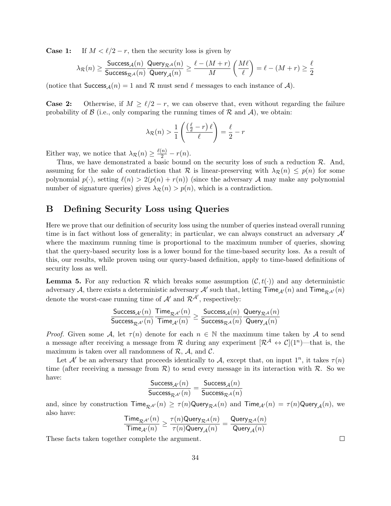**Case 1:** If  $M < l/2 - r$ , then the security loss is given by

$$
\lambda_{\mathcal{R}}(n) \geq \frac{\text{Success}_{\mathcal{A}}(n)}{\text{Success}_{\mathcal{R}^{\mathcal{A}}}(n)}\frac{\text{Query}_{\mathcal{R}^{\mathcal{A}}}(n)}{\text{Query}_{\mathcal{A}}(n)} \geq \frac{\ell-(M+r)}{M}\left(\frac{M\ell}{\ell}\right) = \ell-(M+r) \geq \frac{\ell}{2}
$$

(notice that  $\text{Success}_A(n) = 1$  and R must send  $\ell$  messages to each instance of A).

**Case 2:** Otherwise, if  $M \ge \ell/2 - r$ , we can observe that, even without regarding the failure probability of  $\beta$  (i.e., only comparing the running times of  $\beta$  and  $\beta$ ), we obtain:

$$
\lambda_{\mathcal{R}}(n) > \frac{1}{1} \left( \frac{\left( \frac{\ell}{2} - r \right) \ell}{\ell} \right) = \frac{\ell}{2} - r
$$

Either way, we notice that  $\lambda_{\mathcal{R}}(n) \geq \frac{\ell(n)}{2} - r(n)$ .

Thus, we have demonstrated a basic bound on the security loss of such a reduction  $R$ . And, assuming for the sake of contradiction that R is linear-preserving with  $\lambda_{\mathcal{R}}(n) \leq p(n)$  for some polynomial  $p(\cdot)$ , setting  $\ell(n) > 2(p(n) + r(n))$  (since the adversary A may make any polynomial number of signature queries) gives  $\lambda_{\mathcal{R}}(n) > p(n)$ , which is a contradiction.

## B Defining Security Loss using Queries

Here we prove that our definition of security loss using the number of queries instead overall running time is in fact without loss of generality; in particular, we can always construct an adversary  $\mathcal{A}'$ where the maximum running time is proportional to the maximum number of queries, showing that the query-based security loss is a lower bound for the time-based security loss. As a result of this, our results, while proven using our query-based definition, apply to time-based definitions of security loss as well.

**Lemma 5.** For any reduction R which breaks some assumption  $(C, t(\cdot))$  and any deterministic adversary  $A$ , there exists a deterministic adversary  $A'$  such that, letting  $\mathsf{Time}_{\mathcal{A}'}(n)$  and  $\mathsf{Time}_{\mathcal{R}^{\mathcal{A}'}(n)}$ denote the worst-case running time of  $\mathcal{A}'$  and  $\mathcal{R}^{\mathcal{A}'}$ , respectively:

$$
\frac{\mathsf{Success}_{\mathcal{A}'}(n)}{\mathsf{Success}_{\mathcal{R}^{\mathcal{A}'}(n)}\frac{\mathsf{Time}_{\mathcal{R}^{\mathcal{A}'}(n)}}{\mathsf{Time}_{\mathcal{A}'}(n)} \geq \frac{\mathsf{Success}_{\mathcal{A}}(n)}{\mathsf{Success}_{\mathcal{R}^{\mathcal{A}}}(n)}\frac{\mathsf{Query}_{\mathcal{R}^{\mathcal{A}}}(n)}{\mathsf{Query}_{\mathcal{A}}(n)}
$$

*Proof.* Given some A, let  $\tau(n)$  denote for each  $n \in \mathbb{N}$  the maximum time taken by A to send a message after receiving a message from R during any experiment  $[\mathcal{R}^{\mathcal{A}} \leftrightarrow \mathcal{C}](1^n)$ —that is, the maximum is taken over all randomness of  $\mathcal{R}$ ,  $\mathcal{A}$ , and  $\mathcal{C}$ .

Let A' be an adversary that proceeds identically to A, except that, on input  $1^n$ , it takes  $\tau(n)$ time (after receiving a message from  $\mathcal{R}$ ) to send every message in its interaction with  $\mathcal{R}$ . So we have:

$$
\frac{\mathsf{Success}_{\mathcal{A}'}(n)}{\mathsf{Success}_{\mathcal{R}^{\mathcal{A}'}}(n)} = \frac{\mathsf{Success}_{\mathcal{A}}(n)}{\mathsf{Success}_{\mathcal{R}^{\mathcal{A}}}(n)}
$$

and, since by construction  $\text{Time}_{\mathcal{R}^{A'}}(n) \ge \tau(n) \text{Query}_{\mathcal{R}^{A}}(n)$  and  $\text{Time}_{A'}(n) = \tau(n) \text{Query}_{A}(n)$ , we also have:  $\sqrt{1 - (10)^2}$ 

$$
\frac{\text{Time}_{\mathcal{R}^{\mathcal{A}^\prime}}(n)}{\text{Time}_{\mathcal{A}^\prime}(n)} \ge \frac{\tau(n)\text{Query}_{\mathcal{R}^{\mathcal{A}}}(n)}{\tau(n)\text{Query}_{\mathcal{A}}(n)} = \frac{\text{Query}_{\mathcal{R}^{\mathcal{A}}}(n)}{\text{Query}_{\mathcal{A}}(n)}
$$

These facts taken together complete the argument.

 $\Box$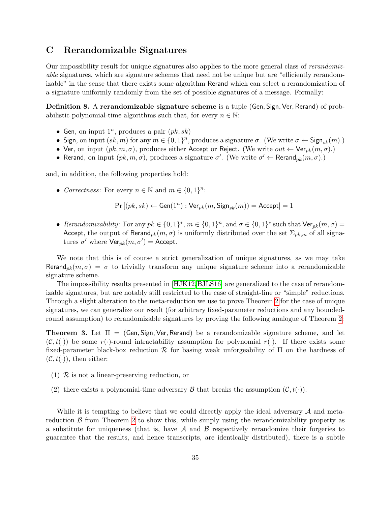## C Rerandomizable Signatures

Our impossibility result for unique signatures also applies to the more general class of rerandomizable signatures, which are signature schemes that need not be unique but are "efficiently rerandomizable" in the sense that there exists some algorithm Rerand which can select a rerandomization of a signature uniformly randomly from the set of possible signatures of a message. Formally:

Definition 8. A rerandomizable signature scheme is a tuple (Gen, Sign, Ver, Rerand) of probabilistic polynomial-time algorithms such that, for every  $n \in \mathbb{N}$ :

- Gen, on input  $1^n$ , produces a pair  $(pk, sk)$
- Sign, on input  $(sk, m)$  for any  $m \in \{0, 1\}^n$ , produces a signature  $\sigma$ . (We write  $\sigma \leftarrow$  Sign<sub>sk</sub> $(m)$ .)
- Ver, on input  $(pk, m, \sigma)$ , produces either Accept or Reject. (We write  $out \leftarrow \mathsf{Ver}_{pk}(m, \sigma)$ .)
- Rerand, on input  $(pk, m, \sigma)$ , produces a signature  $\sigma'$ . (We write  $\sigma' \leftarrow$  Rerand $_{pk}(m, \sigma)$ .)

and, in addition, the following properties hold:

• Correctness: For every  $n \in \mathbb{N}$  and  $m \in \{0,1\}^n$ :

$$
\Pr\left[(pk, sk) \gets \mathsf{Gen}(1^n) : \mathsf{Ver}_{pk}(m, \mathsf{Sign}_{sk}(m)) = \mathsf{Accept}\right] = 1
$$

• Rerandomizability: For any  $pk \in \{0,1\}^*$ ,  $m \in \{0,1\}^n$ , and  $\sigma \in \{0,1\}^*$  such that  $\text{Ver}_{pk}(m, \sigma) =$ Accept, the output of Rerand<sub>pk</sub> $(m, \sigma)$  is uniformly distributed over the set  $\Sigma_{pk,m}$  of all signatures  $\sigma'$  where  $\mathsf{Ver}_{pk}(m, \sigma') = \mathsf{Accept}.$ 

We note that this is of course a strict generalization of unique signatures, as we may take Rerand<sub>pk</sub> $(m, \sigma) = \sigma$  to trivially transform any unique signature scheme into a rerandomizable signature scheme.

The impossibility results presented in [\[HJK12,](#page-30-4)[BJLS16\]](#page-28-2) are generalized to the case of rerandomizable signatures, but are notably still restricted to the case of straight-line or "simple" reductions. Through a slight alteration to the meta-reduction we use to prove Theorem [2](#page-11-1) for the case of unique signatures, we can generalize our result (for arbitrary fixed-parameter reductions and any boundedround assumption) to rerandomizable signatures by proving the following analogue of Theorem [2:](#page-11-1)

<span id="page-35-0"></span>**Theorem 3.** Let  $\Pi = (Gen, Sign, Ver, Rerand)$  be a rerandomizable signature scheme, and let  $(C, t(\cdot))$  be some  $r(\cdot)$ -round intractability assumption for polynomial  $r(\cdot)$ . If there exists some fixed-parameter black-box reduction  $\mathcal R$  for basing weak unforgeability of  $\Pi$  on the hardness of  $(\mathcal{C}, t(\cdot))$ , then either:

- (1)  $\mathcal{R}$  is not a linear-preserving reduction, or
- (2) there exists a polynomial-time adversary  $\mathcal B$  that breaks the assumption  $(\mathcal C, t(\cdot))$ .

While it is tempting to believe that we could directly apply the ideal adversary  $A$  and metareduction  $\beta$  from Theorem [2](#page-11-1) to show this, while simply using the rerandomizability property as a substitute for uniqueness (that is, have  $A$  and  $B$  respectively rerandomize their forgeries to guarantee that the results, and hence transcripts, are identically distributed), there is a subtle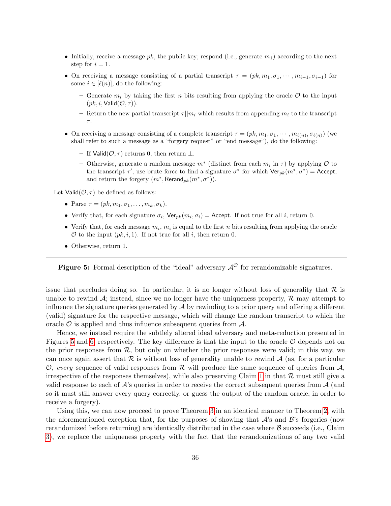- <span id="page-36-0"></span>• Initially, receive a message  $pk$ , the public key; respond (i.e., generate  $m_1$ ) according to the next step for  $i = 1$ .
- On receiving a message consisting of a partial transcript  $\tau = (pk, m_1, \sigma_1, \cdots, m_{i-1}, \sigma_{i-1})$  for some  $i \in [\ell(n)]$ , do the following:
	- Generate  $m_i$  by taking the first n bits resulting from applying the oracle O to the input  $(pk, i,$  Valid $(\mathcal{O}, \tau)$ ).
	- Return the new partial transcript  $\tau || m_i$ , which results from appending  $m_i$  to the transcript  $\tau$
- On receiving a message consisting of a complete transcript  $\tau = (pk, m_1, \sigma_1, \cdots, m_{\ell(n)}, \sigma_{\ell(n)})$  (we shall refer to such a message as a "forgery request" or "end message"), do the following:
	- If Valid $(0, \tau)$  returns 0, then return  $\bot$ .
	- Otherwise, generate a random message  $m^*$  (distinct from each  $m_i$  in τ) by applying  $O$  to the transcript  $\tau'$ , use brute force to find a signature  $\sigma^*$  for which  $\text{Ver}_{pk}(m^*, \sigma^*) = \text{Accept},$ and return the forgery  $(m^*, \text{Rerand}_{pk}(m^*, \sigma^*)$ ).

Let  $Valid(\mathcal{O}, \tau)$  be defined as follows:

- Parse  $\tau = (pk, m_1, \sigma_1, \ldots, m_k, \sigma_k).$
- Verify that, for each signature  $\sigma_i$ ,  $\text{Ver}_{pk}(m_i, \sigma_i) = \text{Accept}$ . If not true for all i, return 0.
- Verify that, for each message  $m_i$ ,  $m_i$  is equal to the first n bits resulting from applying the oracle  $\mathcal O$  to the input  $(pk, i, 1)$ . If not true for all i, then return 0.
- Otherwise, return 1.

**Figure 5:** Formal description of the "ideal" adversary  $\mathcal{A}^{\mathcal{O}}$  for rerandomizable signatures.

issue that precludes doing so. In particular, it is no longer without loss of generality that  $\mathcal R$  is unable to rewind  $\mathcal{A}$ ; instead, since we no longer have the uniqueness property,  $\mathcal{R}$  may attempt to influence the signature queries generated by  $\mathcal A$  by rewinding to a prior query and offering a different (valid) signature for the respective message, which will change the random transcript to which the oracle  $\mathcal O$  is applied and thus influence subsequent queries from  $\mathcal A$ .

Hence, we instead require the subtlely altered ideal adversary and meta-reduction presented in Figures [5](#page-36-0) and [6,](#page-37-0) respectively. The key difference is that the input to the oracle  $\mathcal O$  depends not on the prior responses from  $\mathcal{R}$ , but only on whether the prior responses were valid; in this way, we can once again assert that  $\mathcal R$  is without loss of generality unable to rewind  $\mathcal A$  (as, for a particular O, every sequence of valid responses from R will produce the same sequence of queries from  $\mathcal{A}$ , irrespective of the responses themselves), while also preserving Claim [1](#page-15-1) in that  $\mathcal R$  must still give a valid response to each of  $\mathcal{A}$ 's queries in order to receive the correct subsequent queries from  $\mathcal{A}$  (and so it must still answer every query correctly, or guess the output of the random oracle, in order to receive a forgery).

Using this, we can now proceed to prove Theorem [3](#page-35-0) in an identical manner to Theorem [2,](#page-11-1) with the aforementioned exception that, for the purposes of showing that  $\mathcal{A}$ 's and  $\mathcal{B}$ 's forgeries (now rerandomized before returning) are identically distributed in the case where  $\beta$  succeeds (i.e., Claim [3\)](#page-20-1), we replace the uniqueness property with the fact that the rerandomizations of any two valid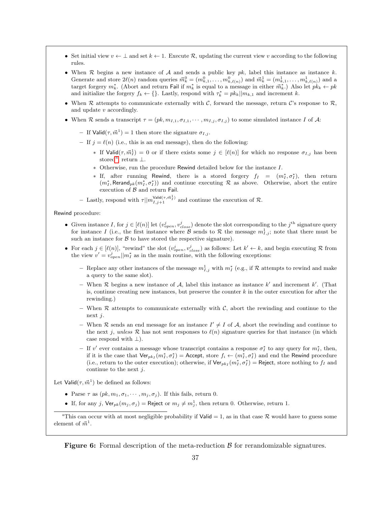- <span id="page-37-0"></span>• Set initial view  $v \leftarrow \perp$  and set  $k \leftarrow 1$ . Execute R, updating the current view v according to the following rules.
- When R begins a new instance of A and sends a public key  $pk$ , label this instance as instance k. Generate and store  $2\ell(n)$  random queries  $\vec{m}_k^0 = (m_{k,1}^0, \ldots, m_{k,\ell(n)}^0)$  and  $\vec{m}_k^1 = (m_{k,1}^1, \ldots, m_{k,\ell(n)}^1)$  and a target forgery  $m_k^*$ . (Abort and return Fail if  $m_k^*$  is equal to a message in either  $\vec{m}_k^*$ .) Also let  $pk_k \leftarrow pk$ and initialize the forgery  $f_k \leftarrow \{\}$ . Lastly, respond with  $\tau_k^* = pk_k || m_{k,1}$  and increment k.
- When R attempts to communicate externally with C, forward the message, return C's response to R, and update  $v$  accordingly.
- When R sends a transcript  $\tau = (pk, m_{I,1}, \sigma_{I,1}, \cdots, m_{I,j}, \sigma_{I,j})$  to some simulated instance I of A:
	- If  $\text{Valid}(\tau, \vec{m}^1) = 1$  then store the signature  $\sigma_{I,j}$ .
	- If  $j = \ell(n)$  (i.e., this is an end message), then do the following:
		- $*$  If Valid( $\tau$ ,  $\vec{m}_I^1$ ) = 0 or if there exists some  $j \in [\ell(n)]$  for which no response  $\sigma_{I,j}$  has been stored<sup>*[a](#page-37-1)*</sup>, return  $\perp$ .
		- ∗ Otherwise, run the procedure Rewind detailed below for the instance I.
		- \* If, after running Rewind, there is a stored forgery  $f_I = (m_I^*, \sigma_I^*)$ , then return  $(m_I^*, \text{Rerand}_{pk}(m_I^*, \sigma_I^*))$  and continue executing R as above. Otherwise, abort the entire execution of  $\beta$  and return Fail.
	- Lastly, respond with  $\tau || m_{I,j+1}^{\text{Valid}(\tau, \vec{m}_I^1)}$  and continue the execution of  $\mathcal{R}$ .

Rewind procedure:

- Given instance I, for  $j \in [\ell(n)]$  let  $(v_{open}^j, v_{close}^j)$  denote the slot corresponding to the  $j^{\text{th}}$  signature query for instance I (i.e., the first instance where B sends to R the message  $m_{I,j}^1$ ; note that there must be such an instance for  $\beta$  to have stored the respective signature).
- For each  $j \in [\ell(n)]$ , "rewind" the slot  $(v_{open}^j, v_{close}^j)$  as follows: Let  $k' \leftarrow k$ , and begin executing R from the view  $v' = v_{open}^j ||m_I^*$  as in the main routine, with the following exceptions:
	- − Replace any other instances of the message  $m_{I,j}^1$  with  $m_I^*$  (e.g., if R attempts to rewind and make a query to the same slot).
	- When  $\mathcal R$  begins a new instance of  $\mathcal A$ , label this instance as instance k' and increment k'. (That is, continue creating new instances, but preserve the counter  $k$  in the outer execution for after the rewinding.)
	- When  $\mathcal R$  attempts to communicate externally with  $\mathcal C$ , abort the rewinding and continue to the next j.
	- When R sends an end message for an instance  $I' \neq I$  of A, abort the rewinding and continue to the next j, unless R has not sent responses to  $\ell(n)$  signature queries for that instance (in which case respond with  $\perp$ ).
	- − If v' ever contains a message whose transcript contains a response  $\sigma_I^*$  to any query for  $m_I^*$ , then, if it is the case that  $\text{Ver}_{pk_I}(m_I^*, \sigma_I^*) = \text{Accept}, \text{ store } f_i \leftarrow (m_I^*, \sigma_I^*)$  and end the Rewind procedure (i.e., return to the outer execution); otherwise, if  $Ver_{pkI}(m_I^*, \sigma_I^*) =$  Reject, store nothing to  $f_I$  and continue to the next  $j$ .

Let  $\mathsf{Valid}(\tau, \vec{m}^1)$  be defined as follows:

- Parse  $\tau$  as  $(pk, m_1, \sigma_1, \cdots, m_j, \sigma_j)$ . If this fails, return 0.
- If, for any j,  $\text{Ver}_{pk}(m_j, \sigma_j) = \text{Reject or } m_j \neq m_j^1$ , then return 0. Otherwise, return 1.

**Figure 6:** Formal description of the meta-reduction  $\beta$  for rerandomizable signatures.

<span id="page-37-1"></span><sup>&</sup>lt;sup>a</sup>This can occur with at most negligible probability if **Valid**  $= 1$ , as in that case R would have to guess some element of  $\vec{m}^1$ .